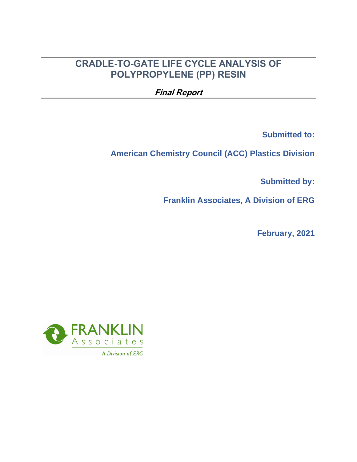# **CRADLE-TO-GATE LIFE CYCLE ANALYSIS OF POLYPROPYLENE (PP) RESIN**

**Final Report**

**Submitted to:**

**American Chemistry Council (ACC) Plastics Division**

**Submitted by:**

**Franklin Associates, A Division of ERG**

**February, 2021**

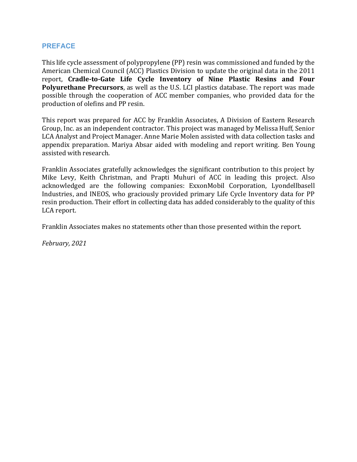#### **PREFACE**

This life cycle assessment of polypropylene (PP) resin was commissioned and funded by the American Chemical Council (ACC) Plastics Division to update the original data in the 2011 report, **Cradle-to-Gate Life Cycle Inventory of Nine Plastic Resins and Four Polyurethane Precursors**, as well as the U.S. LCI plastics database. The report was made possible through the cooperation of ACC member companies, who provided data for the production of olefins and PP resin.

This report was prepared for ACC by Franklin Associates, A Division of Eastern Research Group, Inc. as an independent contractor. This project was managed by Melissa Huff, Senior LCA Analyst and Project Manager. Anne Marie Molen assisted with data collection tasks and appendix preparation. Mariya Absar aided with modeling and report writing. Ben Young assisted with research.

Franklin Associates gratefully acknowledges the significant contribution to this project by Mike Levy, Keith Christman, and Prapti Muhuri of ACC in leading this project. Also acknowledged are the following companies: ExxonMobil Corporation, Lyondellbasell Industries, and INEOS, who graciously provided primary Life Cycle Inventory data for PP resin production. Their effort in collecting data has added considerably to the quality of this LCA report.

Franklin Associates makes no statements other than those presented within the report.

*February, 2021*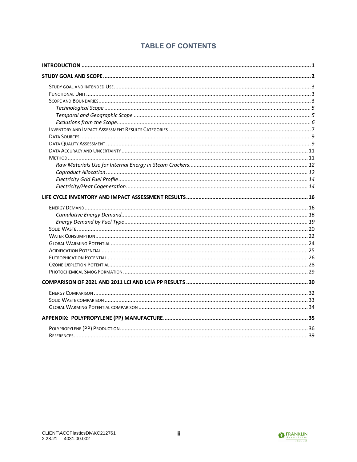# **TABLE OF CONTENTS**

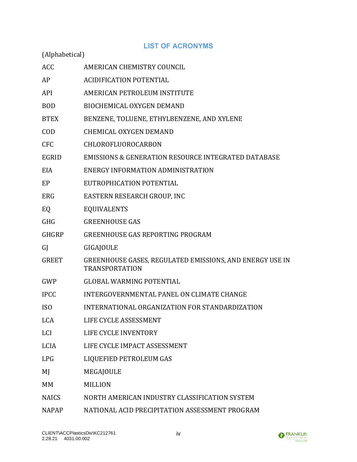## **LIST OF ACRONYMS**

| (Alphabetical)  |                                                                                   |
|-----------------|-----------------------------------------------------------------------------------|
| <b>ACC</b>      | AMERICAN CHEMISTRY COUNCIL                                                        |
| AP              | <b>ACIDIFICATION POTENTIAL</b>                                                    |
| API             | AMERICAN PETROLEUM INSTITUTE                                                      |
| <b>BOD</b>      | <b>BIOCHEMICAL OXYGEN DEMAND</b>                                                  |
| <b>BTEX</b>     | BENZENE, TOLUENE, ETHYLBENZENE, AND XYLENE                                        |
| <b>COD</b>      | <b>CHEMICAL OXYGEN DEMAND</b>                                                     |
| <b>CFC</b>      | CHLOROFLUOROCARBON                                                                |
| <b>EGRID</b>    | <b>EMISSIONS &amp; GENERATION RESOURCE INTEGRATED DATABASE</b>                    |
| <b>EIA</b>      | ENERGY INFORMATION ADMINISTRATION                                                 |
| EP              | EUTROPHICATION POTENTIAL                                                          |
| ERG             | EASTERN RESEARCH GROUP, INC                                                       |
| EQ              | <b>EQUIVALENTS</b>                                                                |
| <b>GHG</b>      | <b>GREENHOUSE GAS</b>                                                             |
| <b>GHGRP</b>    | <b>GREENHOUSE GAS REPORTING PROGRAM</b>                                           |
| GJ              | GIGAJOULE                                                                         |
| <b>GREET</b>    | GREENHOUSE GASES, REGULATED EMISSIONS, AND ENERGY USE IN<br><b>TRANSPORTATION</b> |
| GWP             | <b>GLOBAL WARMING POTENTIAL</b>                                                   |
| <b>IPCC</b>     | INTERGOVERNMENTAL PANEL ON CLIMATE CHANGE                                         |
| IS <sub>0</sub> | INTERNATIONAL ORGANIZATION FOR STANDARDIZATION                                    |
| <b>LCA</b>      | LIFE CYCLE ASSESSMENT                                                             |
| <b>LCI</b>      | LIFE CYCLE INVENTORY                                                              |
| <b>LCIA</b>     | LIFE CYCLE IMPACT ASSESSMENT                                                      |
| <b>LPG</b>      | LIQUEFIED PETROLEUM GAS                                                           |
| MJ              | MEGAJOULE                                                                         |
| MM              | <b>MILLION</b>                                                                    |
| <b>NAICS</b>    | NORTH AMERICAN INDUSTRY CLASSIFICATION SYSTEM                                     |
| <b>NAPAP</b>    | NATIONAL ACID PRECIPITATION ASSESSMENT PROGRAM                                    |

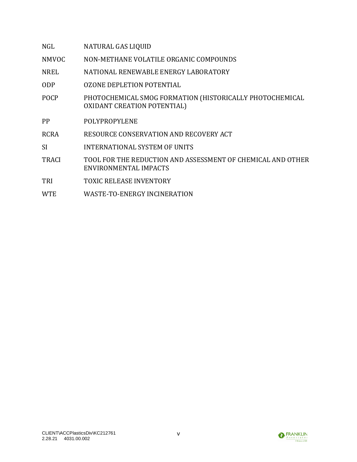| NGL          | NATURAL GAS LIQUID                                                                             |
|--------------|------------------------------------------------------------------------------------------------|
| <b>NMVOC</b> | NON-METHANE VOLATILE ORGANIC COMPOUNDS                                                         |
| <b>NREL</b>  | NATIONAL RENEWABLE ENERGY LABORATORY                                                           |
| <b>ODP</b>   | <b>OZONE DEPLETION POTENTIAL</b>                                                               |
| <b>POCP</b>  | PHOTOCHEMICAL SMOG FORMATION (HISTORICALLY PHOTOCHEMICAL<br><b>OXIDANT CREATION POTENTIAL)</b> |
| PP           | POLYPROPYLENE                                                                                  |
| <b>RCRA</b>  | RESOURCE CONSERVATION AND RECOVERY ACT                                                         |
| <b>SI</b>    | INTERNATIONAL SYSTEM OF UNITS                                                                  |
| <b>TRACI</b> | TOOL FOR THE REDUCTION AND ASSESSMENT OF CHEMICAL AND OTHER<br>ENVIRONMENTAL IMPACTS           |
| TRI          | <b>TOXIC RELEASE INVENTORY</b>                                                                 |
| <b>WTE</b>   | WASTE-TO-ENERGY INCINERATION                                                                   |
|              |                                                                                                |

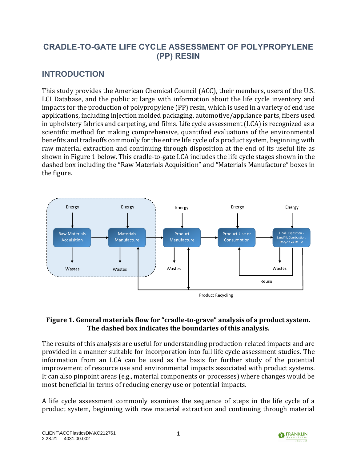# **CRADLE-TO-GATE LIFE CYCLE ASSESSMENT OF POLYPROPYLENE (PP) RESIN**

# <span id="page-5-0"></span>**INTRODUCTION**

This study provides the American Chemical Council (ACC), their members, users of the U.S. LCI Database, and the public at large with information about the life cycle inventory and impacts for the production of polypropylene (PP) resin, which is used in a variety of end use applications, including injection molded packaging, automotive/appliance parts, fibers used in upholstery fabrics and carpeting, and films. Life cycle assessment (LCA) is recognized as a scientific method for making comprehensive, quantified evaluations of the environmental benefits and tradeoffs commonly for the entire life cycle of a product system, beginning with raw material extraction and continuing through disposition at the end of its useful life as shown in [Figure 1](#page-5-1) below. This cradle-to-gate LCA includes the life cycle stages shown in the dashed box including the "Raw Materials Acquisition" and "Materials Manufacture" boxes in the figure.



### <span id="page-5-1"></span>**Figure 1. General materials flow for "cradle-to-grave" analysis of a product system. The dashed box indicates the boundaries of this analysis.**

The results of this analysis are useful for understanding production-related impacts and are provided in a manner suitable for incorporation into full life cycle assessment studies. The information from an LCA can be used as the basis for further study of the potential improvement of resource use and environmental impacts associated with product systems. It can also pinpoint areas (e.g., material components or processes) where changes would be most beneficial in terms of reducing energy use or potential impacts.

A life cycle assessment commonly examines the sequence of steps in the life cycle of a product system, beginning with raw material extraction and continuing through material

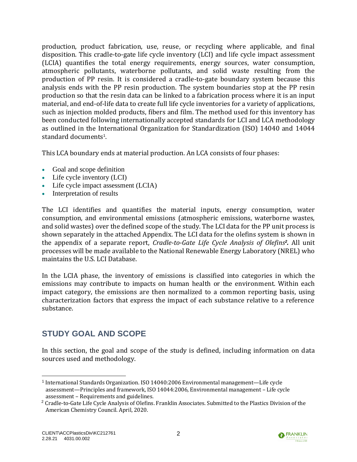production, product fabrication, use, reuse, or recycling where applicable, and final disposition. This cradle-to-gate life cycle inventory (LCI) and life cycle impact assessment (LCIA) quantifies the total energy requirements, energy sources, water consumption, atmospheric pollutants, waterborne pollutants, and solid waste resulting from the production of PP resin. It is considered a cradle-to-gate boundary system because this analysis ends with the PP resin production. The system boundaries stop at the PP resin production so that the resin data can be linked to a fabrication process where it is an input material, and end-of-life data to create full life cycle inventories for a variety of applications, such as injection molded products, fibers and film. The method used for this inventory has been conducted following internationally accepted standards for LCI and LCA methodology as outlined in the International Organization for Standardization (ISO) 14040 and 14044 standard documents<sup>1</sup>.

This LCA boundary ends at material production. An LCA consists of four phases:

- Goal and scope definition
- Life cycle inventory (LCI)
- Life cycle impact assessment (LCIA)
- Interpretation of results

The LCI identifies and quantifies the material inputs, energy consumption, water consumption, and environmental emissions (atmospheric emissions, waterborne wastes, and solid wastes) over the defined scope of the study. The LCI data for the PP unit process is shown separately in the attached Appendix. The LCI data for the olefins system is shown in the appendix of a separate report, *Cradle-to-Gate Life Cycle Analysis of Olefins<sup>2</sup> .* All unit processes will be made available to the National Renewable Energy Laboratory (NREL) who maintains the U.S. LCI Database.

In the LCIA phase, the inventory of emissions is classified into categories in which the emissions may contribute to impacts on human health or the environment. Within each impact category, the emissions are then normalized to a common reporting basis, using characterization factors that express the impact of each substance relative to a reference substance.

# <span id="page-6-0"></span>**STUDY GOAL AND SCOPE**

In this section, the goal and scope of the study is defined, including information on data sources used and methodology.



<sup>&</sup>lt;sup>1</sup> International Standards Organization. ISO 14040:2006 Environmental management—Life cycle assessment—Principles and framework, ISO 14044:2006, Environmental management – Life cycle assessment – Requirements and guidelines.

<sup>&</sup>lt;sup>2</sup> Cradle-to-Gate Life Cycle Analysis of Olefins. Franklin Associates. Submitted to the Plastics Division of the American Chemistry Council. April, 2020.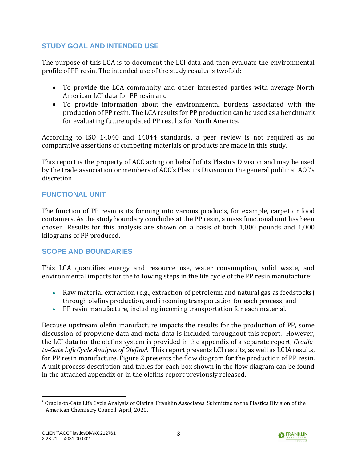## <span id="page-7-0"></span>**STUDY GOAL AND INTENDED USE**

The purpose of this LCA is to document the LCI data and then evaluate the environmental profile of PP resin. The intended use of the study results is twofold:

- To provide the LCA community and other interested parties with average North American LCI data for PP resin and
- To provide information about the environmental burdens associated with the production of PP resin. The LCA results for PP production can be used as a benchmark for evaluating future updated PP results for North America.

According to ISO 14040 and 14044 standards, a peer review is not required as no comparative assertions of competing materials or products are made in this study.

This report is the property of ACC acting on behalf of its Plastics Division and may be used by the trade association or members of ACC's Plastics Division or the general public at ACC's discretion.

## <span id="page-7-1"></span>**FUNCTIONAL UNIT**

The function of PP resin is its forming into various products, for example, carpet or food containers. As the study boundary concludes at the PP resin, a mass functional unit has been chosen. Results for this analysis are shown on a basis of both 1,000 pounds and 1,000 kilograms of PP produced.

## <span id="page-7-2"></span>**SCOPE AND BOUNDARIES**

This LCA quantifies energy and resource use, water consumption, solid waste, and environmental impacts for the following steps in the life cycle of the PP resin manufacture:

- Raw material extraction (e.g., extraction of petroleum and natural gas as feedstocks) through olefins production, and incoming transportation for each process, and
- PP resin manufacture, including incoming transportation for each material.

Because upstream olefin manufacture impacts the results for the production of PP, some discussion of propylene data and meta-data is included throughout this report. However, the LCI data for the olefins system is provided in the appendix of a separate report, *Cradleto-Gate Life Cycle Analysis of Olefins<sup>3</sup> .* This report presents LCI results, as well as LCIA results, for PP resin manufacture. [Figure 2](#page-8-0) presents the flow diagram for the production of PP resin. A unit process description and tables for each box shown in the flow diagram can be found in the attached appendix or in the olefins report previously released.



<sup>3</sup> Cradle-to-Gate Life Cycle Analysis of Olefins. Franklin Associates. Submitted to the Plastics Division of the American Chemistry Council. April, 2020.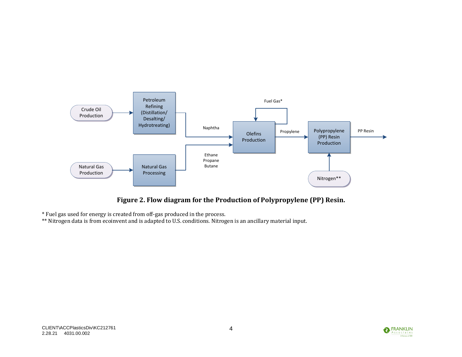

**Figure 2. Flow diagram for the Production of Polypropylene (PP) Resin.** 

\* Fuel gas used for energy is created from off-gas produced in the process.

<span id="page-8-0"></span>\*\* Nitrogen data is from ecoinvent and is adapted to U.S. conditions. Nitrogen is an ancillary material input.

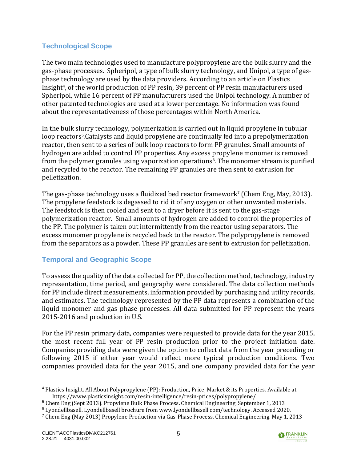## <span id="page-9-0"></span>**Technological Scope**

The two main technologies used to manufacture polypropylene are the bulk slurry and the gas-phase processes. Spheripol, a type of bulk slurry technology, and Unipol, a type of gasphase technology are used by the data providers. According to an article on Plastics Insight<sup>4</sup>, of the world production of PP resin, 39 percent of PP resin manufacturers used Spheripol, while 16 percent of PP manufacturers used the Unipol technology. A number of other patented technologies are used at a lower percentage. No information was found about the representativeness of those percentages within North America.

In the bulk slurry technology, polymerization is carried out in liquid propylene in tubular loop reactors<sup>5</sup>.Catalysts and liquid propylene are continually fed into a prepolymerization reactor, then sent to a series of bulk loop reactors to form PP granules. Small amounts of hydrogen are added to control PP properties. Any excess propylene monomer is removed from the polymer granules using vaporization operations<sup>6</sup>. The monomer stream is purified and recycled to the reactor. The remaining PP granules are then sent to extrusion for pelletization.

The gas-phase technology uses a fluidized bed reactor framework<sup>7</sup> (Chem Eng, May, 2013). The propylene feedstock is degassed to rid it of any oxygen or other unwanted materials. The feedstock is then cooled and sent to a dryer before it is sent to the gas-stage polymerization reactor. Small amounts of hydrogen are added to control the properties of the PP. The polymer is taken out intermittently from the reactor using separators. The excess monomer propylene is recycled back to the reactor. The polypropylene is removed from the separators as a powder. These PP granules are sent to extrusion for pelletization.

### <span id="page-9-1"></span>**Temporal and Geographic Scope**

To assess the quality of the data collected for PP, the collection method, technology, industry representation, time period, and geography were considered. The data collection methods for PP include direct measurements, information provided by purchasing and utility records, and estimates. The technology represented by the PP data represents a combination of the liquid monomer and gas phase processes. All data submitted for PP represent the years 2015-2016 and production in U.S.

For the PP resin primary data, companies were requested to provide data for the year 2015, the most recent full year of PP resin production prior to the project initiation date. Companies providing data were given the option to collect data from the year preceding or following 2015 if either year would reflect more typical production conditions. Two companies provided data for the year 2015, and one company provided data for the year



<sup>4</sup> Plastics Insight. All About Polypropylene (PP): Production, Price, Market & its Properties. Available at https://www.plasticsinsight.com/resin-intelligence/resin-prices/polypropylene/

<sup>5</sup> Chem Eng (Sept 2013). Propylene Bulk Phase Process. Chemical Engineering. September 1, 2013

<sup>6</sup> Lyondellbasell. Lyondellbasell brochure from www.lyondellbasell.com/technology. Accessed 2020.

<sup>7</sup> Chem Eng (May 2013) Propylene Production via Gas-Phase Process. Chemical Engineering. May 1, 2013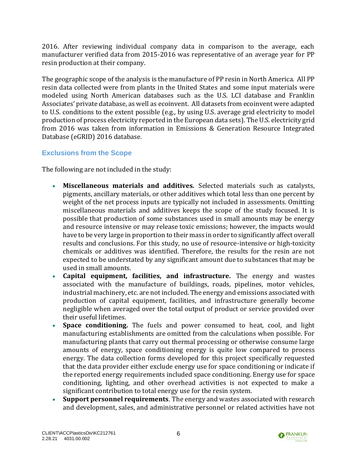2016. After reviewing individual company data in comparison to the average, each manufacturer verified data from 2015-2016 was representative of an average year for PP resin production at their company.

The geographic scope of the analysis is the manufacture of PP resin in North America. All PP resin data collected were from plants in the United States and some input materials were modeled using North American databases such as the U.S. LCI database and Franklin Associates' private database, as well as ecoinvent. All datasets from ecoinvent were adapted to U.S. conditions to the extent possible (e.g., by using U.S. average grid electricity to model production of process electricity reported in the European data sets). The U.S. electricity grid from 2016 was taken from information in Emissions & Generation Resource Integrated Database (eGRID) 2016 database.

## <span id="page-10-0"></span>**Exclusions from the Scope**

The following are not included in the study:

- **Miscellaneous materials and additives.** Selected materials such as catalysts, pigments, ancillary materials, or other additives which total less than one percent by weight of the net process inputs are typically not included in assessments. Omitting miscellaneous materials and additives keeps the scope of the study focused. It is possible that production of some substances used in small amounts may be energy and resource intensive or may release toxic emissions; however, the impacts would have to be very large in proportion to their mass in order to significantly affect overall results and conclusions. For this study, no use of resource-intensive or high-toxicity chemicals or additives was identified. Therefore, the results for the resin are not expected to be understated by any significant amount due to substances that may be used in small amounts.
- **Capital equipment, facilities, and infrastructure.** The energy and wastes associated with the manufacture of buildings, roads, pipelines, motor vehicles, industrial machinery, etc. are not included. The energy and emissions associated with production of capital equipment, facilities, and infrastructure generally become negligible when averaged over the total output of product or service provided over their useful lifetimes.
- **Space conditioning.** The fuels and power consumed to heat, cool, and light manufacturing establishments are omitted from the calculations when possible. For manufacturing plants that carry out thermal processing or otherwise consume large amounts of energy, space conditioning energy is quite low compared to process energy. The data collection forms developed for this project specifically requested that the data provider either exclude energy use for space conditioning or indicate if the reported energy requirements included space conditioning. Energy use for space conditioning, lighting, and other overhead activities is not expected to make a significant contribution to total energy use for the resin system.
- **Support personnel requirements**. The energy and wastes associated with research and development, sales, and administrative personnel or related activities have not

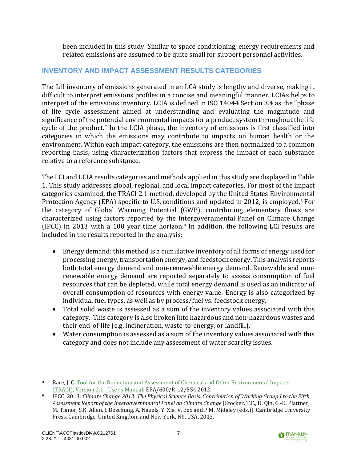been included in this study. Similar to space conditioning, energy requirements and related emissions are assumed to be quite small for support personnel activities.

### <span id="page-11-0"></span>**INVENTORY AND IMPACT ASSESSMENT RESULTS CATEGORIES**

The full inventory of emissions generated in an LCA study is lengthy and diverse, making it difficult to interpret emissions profiles in a concise and meaningful manner. LCIAs helps to interpret of the emissions inventory. LCIA is defined in ISO 14044 Section 3.4 as the "phase of life cycle assessment aimed at understanding and evaluating the magnitude and significance of the potential environmental impacts for a product system throughout the life cycle of the product." In the LCIA phase, the inventory of emissions is first classified into categories in which the emissions may contribute to impacts on human health or the environment. Within each impact category, the emissions are then normalized to a common reporting basis, using characterization factors that express the impact of each substance relative to a reference substance.

The LCI and LCIA results categories and methods applied in this study are displayed in [Table](#page-12-0)  [1.](#page-12-0) This study addresses global, regional, and local impact categories. For most of the impact categories examined, the TRACI 2.1 method, developed by the United States Environmental Protection Agency (EPA) specific to U.S. conditions and updated in 2012, is employed.<sup>8</sup> For the category of Global Warming Potential (GWP), contributing elementary flows are characterized using factors reported by the Intergovernmental Panel on Climate Change (IPCC) in 2013 with a 100 year time horizon.<sup>9</sup> In addition, the following LCI results are included in the results reported in the analysis:

- Energy demand: this method is a cumulative inventory of all forms of energy used for processing energy, transportation energy, and feedstock energy. This analysis reports both total energy demand and non-renewable energy demand. Renewable and nonrenewable energy demand are reported separately to assess consumption of fuel resources that can be depleted, while total energy demand is used as an indicator of overall consumption of resources with energy value. Energy is also categorized by individual fuel types, as well as by process/fuel vs. feedstock energy.
- Total solid waste is assessed as a sum of the inventory values associated with this category. This category is also broken into hazardous and non-hazardous wastes and their end-of-life (e.g. incineration, waste-to-energy, or landfill).
- Water consumption is assessed as a sum of the inventory values associated with this category and does not include any assessment of water scarcity issues.



<sup>8</sup> Bare, J. C. Tool for the Reduction and Assessment of Chemical and Other Environmental Impacts [\(TRACI\),](http://nepis.epa.gov/Adobe/PDF/P100HN53.pdf) Version 2.1 - [User's Manual](http://nepis.epa.gov/Adobe/PDF/P100HN53.pdf); EPA/600/R-12/554 2012.

<sup>9</sup> IPCC, 2013: *Climate Change 2013: The Physical Science Basis. Contribution of Working Group I to the Fifth Assessment Report of the Intergovernmental Panel on Climate Change* [Stocker, T.F., D. Qin, G.-K. Plattner, M. Tignor, S.K. Allen, J. Boschung, A. Nauels, Y. Xia, V. Bex and P.M. Midgley (eds.)]. Cambridge University Press, Cambridge, United Kingdom and New York, NY, USA, 2013.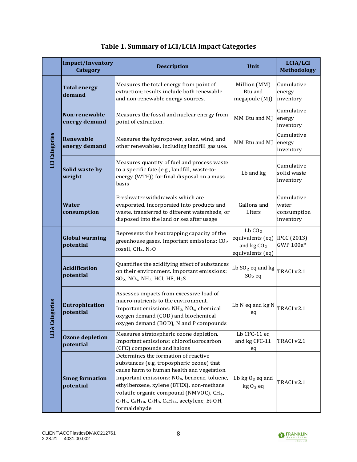<span id="page-12-0"></span>

|                            | <b>Impact/Inventory</b><br><b>Category</b> | <b>Description</b>                                                                                                                                                                                                                                                                                                                                                                     | Unit                                                                     | LCIA/LCI<br><b>Methodology</b>                  |
|----------------------------|--------------------------------------------|----------------------------------------------------------------------------------------------------------------------------------------------------------------------------------------------------------------------------------------------------------------------------------------------------------------------------------------------------------------------------------------|--------------------------------------------------------------------------|-------------------------------------------------|
| LCI Categories             | <b>Total energy</b><br>demand              | Measures the total energy from point of<br>extraction; results include both renewable<br>and non-renewable energy sources.                                                                                                                                                                                                                                                             | Million (MM)<br>Btu and<br>megajoule (MJ)                                | Cumulative<br>energy<br>inventory               |
|                            | Non-renewable<br>energy demand             | Measures the fossil and nuclear energy from<br>point of extraction.                                                                                                                                                                                                                                                                                                                    | MM Btu and MJ                                                            | Cumulative<br>energy<br>inventory               |
|                            | <b>Renewable</b><br>energy demand          | Measures the hydropower, solar, wind, and<br>other renewables, including landfill gas use.                                                                                                                                                                                                                                                                                             | MM Btu and MJ                                                            | Cumulative<br>energy<br>inventory               |
|                            | Solid waste by<br>weight                   | Measures quantity of fuel and process waste<br>to a specific fate (e.g., landfill, waste-to-<br>energy (WTE)) for final disposal on a mass<br>basis                                                                                                                                                                                                                                    | Lb and kg                                                                | Cumulative<br>solid waste<br>inventory          |
|                            | <b>Water</b><br>consumption                | Freshwater withdrawals which are<br>evaporated, incorporated into products and<br>waste, transferred to different watersheds, or<br>disposed into the land or sea after usage                                                                                                                                                                                                          | Gallons and<br>Liters                                                    | Cumulative<br>water<br>consumption<br>inventory |
|                            | <b>Global warming</b><br>potential         | Represents the heat trapping capacity of the<br>greenhouse gases. Important emissions: $CO2$<br>fossil, $CH_4$ , $N_2O$                                                                                                                                                                                                                                                                | LbCO <sub>2</sub><br>equivalents (eq)<br>and $kgCO2$<br>equivalents (eq) | <b>IPCC (2013)</b><br>GWP 100a*                 |
|                            | <b>Acidification</b><br>potential          | Quantifies the acidifying effect of substances<br>on their environment. Important emissions:<br>$SO_2$ , NO <sub>x</sub> , NH <sub>3</sub> , HCl, HF, H <sub>2</sub> S                                                                                                                                                                                                                 | Lb $SO2$ eq and kg<br>$SO2$ eq                                           | TRACI v2.1                                      |
| egories<br><b>LCIA Cat</b> | Eutrophication<br>potential                | Assesses impacts from excessive load of<br>macro-nutrients to the environment.<br>Important emissions: $NH_3$ , $NO_x$ , chemical<br>oxygen demand (COD) and biochemical<br>oxygen demand (BOD), N and P compounds                                                                                                                                                                     | Lb N eq and kg N<br>eq                                                   | TRACI v2.1                                      |
|                            | <b>Ozone depletion</b><br>potential        | Measures stratospheric ozone depletion.<br>Important emissions: chlorofluorocarbon<br>(CFC) compounds and halons                                                                                                                                                                                                                                                                       | Lb CFC-11 eq<br>and kg CFC-11<br>eq                                      | TRACI v2.1                                      |
|                            | <b>Smog formation</b><br>potential         | Determines the formation of reactive<br>substances (e.g. tropospheric ozone) that<br>cause harm to human health and vegetation.<br>Important emissions: NO <sub>x</sub> , benzene, toluene,<br>ethylbenzene, xylene (BTEX), non-methane<br>volatile organic compound (NMVOC), CH <sub>4</sub> ,<br>$C_2H_6$ , $C_4H_{10}$ , $C_3H_8$ , $C_6H_{14}$ , acetylene, Et-OH,<br>formaldehyde | Lb $kgO_3$ eq and<br>$kgO3$ eq                                           | TRACI v2.1                                      |

# **Table 1. Summary of LCI/LCIA Impact Categories**

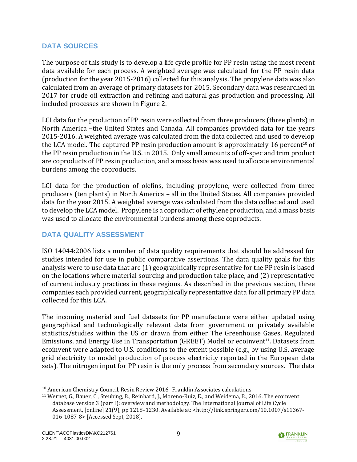### <span id="page-13-0"></span>**DATA SOURCES**

The purpose of this study is to develop a life cycle profile for PP resin using the most recent data available for each process. A weighted average was calculated for the PP resin data (production for the year 2015-2016) collected for this analysis. The propylene data was also calculated from an average of primary datasets for 2015. Secondary data was researched in 2017 for crude oil extraction and refining and natural gas production and processing. All included processes are shown in [Figure 2.](#page-8-0)

LCI data for the production of PP resin were collected from three producers (three plants) in North America –the United States and Canada. All companies provided data for the years 2015-2016. A weighted average was calculated from the data collected and used to develop the LCA model. The captured PP resin production amount is approximately 16 percent<sup>10</sup> of the PP resin production in the U.S. in 2015. Only small amounts of off-spec and trim product are coproducts of PP resin production, and a mass basis was used to allocate environmental burdens among the coproducts.

LCI data for the production of olefins, including propylene, were collected from three producers (ten plants) in North America – all in the United States. All companies provided data for the year 2015. A weighted average was calculated from the data collected and used to develop the LCA model. Propylene is a coproduct of ethylene production, and a mass basis was used to allocate the environmental burdens among these coproducts.

### <span id="page-13-1"></span>**DATA QUALITY ASSESSMENT**

ISO 14044:2006 lists a number of data quality requirements that should be addressed for studies intended for use in public comparative assertions. The data quality goals for this analysis were to use data that are (1) geographically representative for the PP resin is based on the locations where material sourcing and production take place, and (2) representative of current industry practices in these regions. As described in the previous section, three companies each provided current, geographically representative data for all primary PP data collected for this LCA.

The incoming material and fuel datasets for PP manufacture were either updated using geographical and technologically relevant data from government or privately available statistics/studies within the US or drawn from either The Greenhouse Gases, Regulated Emissions, and Energy Use in Transportation (GREET) Model or ecoinvent<sup>11</sup>. Datasets from ecoinvent were adapted to U.S. conditions to the extent possible (e.g., by using U.S. average grid electricity to model production of process electricity reported in the European data sets). The nitrogen input for PP resin is the only process from secondary sources. The data



 $10$  American Chemistry Council. Resin Review 2016. Franklin Associates calculations.

<sup>11</sup> Wernet, G., Bauer, C., Steubing, B., Reinhard, J., Moreno-Ruiz, E., and Weidema, B., 2016. The ecoinvent database version 3 (part I): overview and methodology. The International Journal of Life Cycle Assessment, [online] 21(9), pp.1218–1230. Available at: <http://link.springer.com/10.1007/s11367- 016-1087-8> [Accessed Sept, 2018].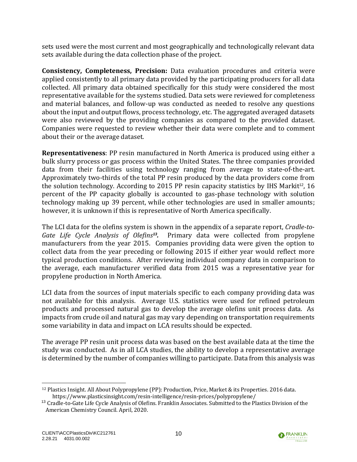sets used were the most current and most geographically and technologically relevant data sets available during the data collection phase of the project.

**Consistency, Completeness, Precision:** Data evaluation procedures and criteria were applied consistently to all primary data provided by the participating producers for all data collected. All primary data obtained specifically for this study were considered the most representative available for the systems studied. Data sets were reviewed for completeness and material balances, and follow-up was conducted as needed to resolve any questions about the input and output flows, process technology, etc. The aggregated averaged datasets were also reviewed by the providing companies as compared to the provided dataset. Companies were requested to review whether their data were complete and to comment about their or the average dataset.

**Representativeness**: PP resin manufactured in North America is produced using either a bulk slurry process or gas process within the United States. The three companies provided data from their facilities using technology ranging from average to state-of-the-art. Approximately two-thirds of the total PP resin produced by the data providers come from the solution technology. According to 2015 PP resin capacity statistics by IHS Markit<sup>12</sup>, 16 percent of the PP capacity globally is accounted to gas-phase technology with solution technology making up 39 percent, while other technologies are used in smaller amounts; however, it is unknown if this is representative of North America specifically.

The LCI data for the olefins system is shown in the appendix of a separate report, *Cradle-to-Gate Life Cycle Analysis of Olefins<sup>13</sup> .* Primary data were collected from propylene manufacturers from the year 2015. Companies providing data were given the option to collect data from the year preceding or following 2015 if either year would reflect more typical production conditions. After reviewing individual company data in comparison to the average, each manufacturer verified data from 2015 was a representative year for propylene production in North America.

LCI data from the sources of input materials specific to each company providing data was not available for this analysis. Average U.S. statistics were used for refined petroleum products and processed natural gas to develop the average olefins unit process data. As impacts from crude oil and natural gas may vary depending on transportation requirements some variability in data and impact on LCA results should be expected.

The average PP resin unit process data was based on the best available data at the time the study was conducted. As in all LCA studies, the ability to develop a representative average is determined by the number of companies willing to participate. Data from this analysis was



<sup>12</sup> Plastics Insight. All About Polypropylene (PP): Production, Price, Market & its Properties. 2016 data. https://www.plasticsinsight.com/resin-intelligence/resin-prices/polypropylene/

<sup>&</sup>lt;sup>13</sup> Cradle-to-Gate Life Cycle Analysis of Olefins. Franklin Associates. Submitted to the Plastics Division of the American Chemistry Council. April, 2020.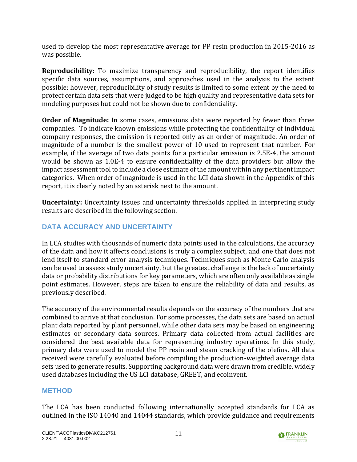used to develop the most representative average for PP resin production in 2015-2016 as was possible.

**Reproducibility**: To maximize transparency and reproducibility, the report identifies specific data sources, assumptions, and approaches used in the analysis to the extent possible; however, reproducibility of study results is limited to some extent by the need to protect certain data sets that were judged to be high quality and representative data sets for modeling purposes but could not be shown due to confidentiality.

**Order of Magnitude:** In some cases, emissions data were reported by fewer than three companies. To indicate known emissions while protecting the confidentiality of individual company responses, the emission is reported only as an order of magnitude. An order of magnitude of a number is the smallest power of 10 used to represent that number. For example, if the average of two data points for a particular emission is 2.5E-4, the amount would be shown as 1.0E-4 to ensure confidentiality of the data providers but allow the impact assessment tool to include a close estimate of the amount within any pertinent impact categories. When order of magnitude is used in the LCI data shown in the Appendix of this report, it is clearly noted by an asterisk next to the amount.

**Uncertainty:** Uncertainty issues and uncertainty thresholds applied in interpreting study results are described in the following section.

## <span id="page-15-0"></span>**DATA ACCURACY AND UNCERTAINTY**

In LCA studies with thousands of numeric data points used in the calculations, the accuracy of the data and how it affects conclusions is truly a complex subject, and one that does not lend itself to standard error analysis techniques. Techniques such as Monte Carlo analysis can be used to assess study uncertainty, but the greatest challenge is the lack of uncertainty data or probability distributions for key parameters, which are often only available as single point estimates. However, steps are taken to ensure the reliability of data and results, as previously described.

The accuracy of the environmental results depends on the accuracy of the numbers that are combined to arrive at that conclusion. For some processes, the data sets are based on actual plant data reported by plant personnel, while other data sets may be based on engineering estimates or secondary data sources. Primary data collected from actual facilities are considered the best available data for representing industry operations. In this study, primary data were used to model the PP resin and steam cracking of the olefins. All data received were carefully evaluated before compiling the production-weighted average data sets used to generate results. Supporting background data were drawn from credible, widely used databases including the US LCI database, GREET, and ecoinvent.

### <span id="page-15-1"></span>**METHOD**

The LCA has been conducted following internationally accepted standards for LCA as outlined in the ISO 14040 and 14044 standards, which provide guidance and requirements

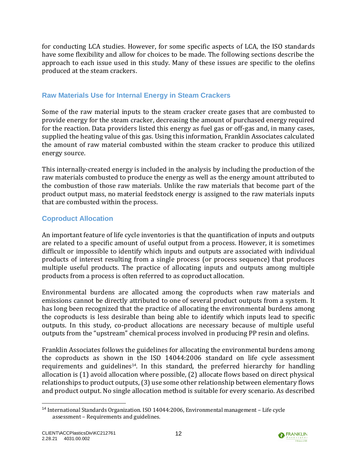for conducting LCA studies. However, for some specific aspects of LCA, the ISO standards have some flexibility and allow for choices to be made. The following sections describe the approach to each issue used in this study. Many of these issues are specific to the olefins produced at the steam crackers.

### <span id="page-16-0"></span>**Raw Materials Use for Internal Energy in Steam Crackers**

Some of the raw material inputs to the steam cracker create gases that are combusted to provide energy for the steam cracker, decreasing the amount of purchased energy required for the reaction. Data providers listed this energy as fuel gas or off-gas and, in many cases, supplied the heating value of this gas. Using this information, Franklin Associates calculated the amount of raw material combusted within the steam cracker to produce this utilized energy source.

This internally-created energy is included in the analysis by including the production of the raw materials combusted to produce the energy as well as the energy amount attributed to the combustion of those raw materials. Unlike the raw materials that become part of the product output mass, no material feedstock energy is assigned to the raw materials inputs that are combusted within the process.

## <span id="page-16-1"></span>**Coproduct Allocation**

An important feature of life cycle inventories is that the quantification of inputs and outputs are related to a specific amount of useful output from a process. However, it is sometimes difficult or impossible to identify which inputs and outputs are associated with individual products of interest resulting from a single process (or process sequence) that produces multiple useful products. The practice of allocating inputs and outputs among multiple products from a process is often referred to as coproduct allocation.

Environmental burdens are allocated among the coproducts when raw materials and emissions cannot be directly attributed to one of several product outputs from a system. It has long been recognized that the practice of allocating the environmental burdens among the coproducts is less desirable than being able to identify which inputs lead to specific outputs. In this study, co-product allocations are necessary because of multiple useful outputs from the "upstream" chemical process involved in producing PP resin and olefins.

Franklin Associates follows the guidelines for allocating the environmental burdens among the coproducts as shown in the ISO 14044:2006 standard on life cycle assessment requirements and guidelines<sup>14</sup>. In this standard, the preferred hierarchy for handling allocation is (1) avoid allocation where possible, (2) allocate flows based on direct physical relationships to product outputs, (3) use some other relationship between elementary flows and product output. No single allocation method is suitable for every scenario. As described



<sup>14</sup> International Standards Organization. ISO 14044:2006, Environmental management – Life cycle assessment – Requirements and guidelines.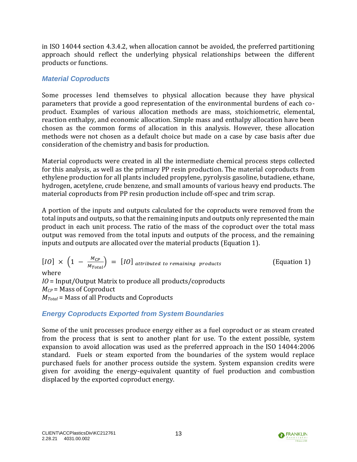in ISO 14044 section 4.3.4.2, when allocation cannot be avoided, the preferred partitioning approach should reflect the underlying physical relationships between the different products or functions.

### *Material Coproducts*

Some processes lend themselves to physical allocation because they have physical parameters that provide a good representation of the environmental burdens of each coproduct. Examples of various allocation methods are mass, stoichiometric, elemental, reaction enthalpy, and economic allocation. Simple mass and enthalpy allocation have been chosen as the common forms of allocation in this analysis. However, these allocation methods were not chosen as a default choice but made on a case by case basis after due consideration of the chemistry and basis for production.

Material coproducts were created in all the intermediate chemical process steps collected for this analysis, as well as the primary PP resin production. The material coproducts from ethylene production for all plants included propylene, pyrolysis gasoline, butadiene, ethane, hydrogen, acetylene, crude benzene, and small amounts of various heavy end products. The material coproducts from PP resin production include off-spec and trim scrap.

A portion of the inputs and outputs calculated for the coproducts were removed from the total inputs and outputs, so that the remaining inputs and outputs only represented the main product in each unit process. The ratio of the mass of the coproduct over the total mass output was removed from the total inputs and outputs of the process, and the remaining inputs and outputs are allocated over the material products (Equation 1).

 $[IO] \times (1 - \frac{M_{CP}}{M})$  $\frac{M_{CP}}{M_{Total}}$  = [IO] attributed to remaining products (Equation 1) where *IO* = Input/Output Matrix to produce all products/coproducts *MCP* = Mass of Coproduct *MTotal* = Mass of all Products and Coproducts

# *Energy Coproducts Exported from System Boundaries*

Some of the unit processes produce energy either as a fuel coproduct or as steam created from the process that is sent to another plant for use. To the extent possible, system expansion to avoid allocation was used as the preferred approach in the ISO 14044:2006 standard. Fuels or steam exported from the boundaries of the system would replace purchased fuels for another process outside the system. System expansion credits were given for avoiding the energy-equivalent quantity of fuel production and combustion displaced by the exported coproduct energy.

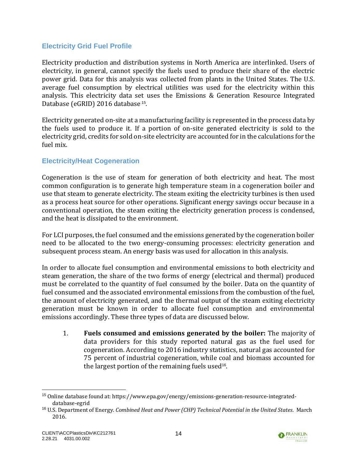### <span id="page-18-0"></span>**Electricity Grid Fuel Profile**

Electricity production and distribution systems in North America are interlinked. Users of electricity, in general, cannot specify the fuels used to produce their share of the electric power grid. Data for this analysis was collected from plants in the United States. The U.S. average fuel consumption by electrical utilities was used for the electricity within this analysis. This electricity data set uses the Emissions & Generation Resource Integrated Database (eGRID) 2016 database<sup>15</sup>.

Electricity generated on-site at a manufacturing facility is represented in the process data by the fuels used to produce it. If a portion of on-site generated electricity is sold to the electricity grid, credits for sold on-site electricity are accounted for in the calculations for the fuel mix.

### <span id="page-18-1"></span>**Electricity/Heat Cogeneration**

Cogeneration is the use of steam for generation of both electricity and heat. The most common configuration is to generate high temperature steam in a cogeneration boiler and use that steam to generate electricity. The steam exiting the electricity turbines is then used as a process heat source for other operations. Significant energy savings occur because in a conventional operation, the steam exiting the electricity generation process is condensed, and the heat is dissipated to the environment.

For LCI purposes, the fuel consumed and the emissions generated by the cogeneration boiler need to be allocated to the two energy-consuming processes: electricity generation and subsequent process steam. An energy basis was used for allocation in this analysis.

In order to allocate fuel consumption and environmental emissions to both electricity and steam generation, the share of the two forms of energy (electrical and thermal) produced must be correlated to the quantity of fuel consumed by the boiler. Data on the quantity of fuel consumed and the associated environmental emissions from the combustion of the fuel, the amount of electricity generated, and the thermal output of the steam exiting electricity generation must be known in order to allocate fuel consumption and environmental emissions accordingly. These three types of data are discussed below.

1. **Fuels consumed and emissions generated by the boiler:** The majority of data providers for this study reported natural gas as the fuel used for cogeneration. According to 2016 industry statistics, natural gas accounted for 75 percent of industrial cogeneration, while coal and biomass accounted for the largest portion of the remaining fuels used<sup>16</sup>.



<sup>15</sup> Online database found at: https://www.epa.gov/energy/emissions-generation-resource-integrateddatabase-egrid

<sup>16</sup> U.S. Department of Energy. *Combined Heat and Power (CHP) Technical Potential in the United States.* March 2016.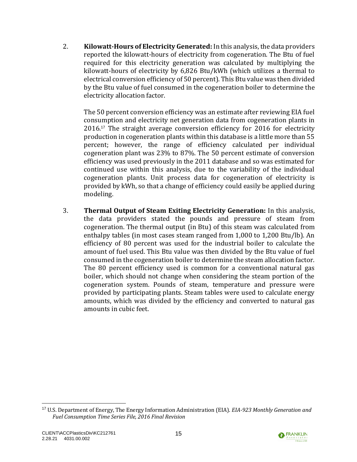2. **Kilowatt-Hours of Electricity Generated:** In this analysis, the data providers reported the kilowatt-hours of electricity from cogeneration. The Btu of fuel required for this electricity generation was calculated by multiplying the kilowatt-hours of electricity by 6,826 Btu/kWh (which utilizes a thermal to electrical conversion efficiency of 50 percent). This Btu value was then divided by the Btu value of fuel consumed in the cogeneration boiler to determine the electricity allocation factor.

The 50 percent conversion efficiency was an estimate after reviewing EIA fuel consumption and electricity net generation data from cogeneration plants in 2016.<sup>17</sup> The straight average conversion efficiency for 2016 for electricity production in cogeneration plants within this database is a little more than 55 percent; however, the range of efficiency calculated per individual cogeneration plant was 23% to 87%. The 50 percent estimate of conversion efficiency was used previously in the 2011 database and so was estimated for continued use within this analysis, due to the variability of the individual cogeneration plants. Unit process data for cogeneration of electricity is provided by kWh, so that a change of efficiency could easily be applied during modeling.

3. **Thermal Output of Steam Exiting Electricity Generation:** In this analysis, the data providers stated the pounds and pressure of steam from cogeneration. The thermal output (in Btu) of this steam was calculated from enthalpy tables (in most cases steam ranged from 1,000 to 1,200 Btu/lb). An efficiency of 80 percent was used for the industrial boiler to calculate the amount of fuel used. This Btu value was then divided by the Btu value of fuel consumed in the cogeneration boiler to determine the steam allocation factor. The 80 percent efficiency used is common for a conventional natural gas boiler, which should not change when considering the steam portion of the cogeneration system. Pounds of steam, temperature and pressure were provided by participating plants. Steam tables were used to calculate energy amounts, which was divided by the efficiency and converted to natural gas amounts in cubic feet.



<sup>17</sup> U.S. Department of Energy, The Energy Information Administration (EIA). *EIA-923 Monthly Generation and Fuel Consumption Time Series File, 2016 Final Revision*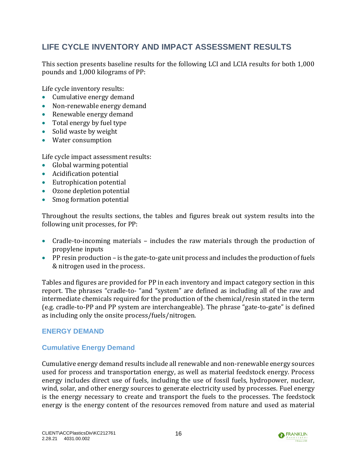# <span id="page-20-0"></span>**LIFE CYCLE INVENTORY AND IMPACT ASSESSMENT RESULTS**

This section presents baseline results for the following LCI and LCIA results for both 1,000 pounds and 1,000 kilograms of PP:

Life cycle inventory results:

- Cumulative energy demand
- Non-renewable energy demand
- Renewable energy demand
- Total energy by fuel type
- Solid waste by weight
- Water consumption

Life cycle impact assessment results:

- Global warming potential
- Acidification potential
- Eutrophication potential
- Ozone depletion potential
- Smog formation potential

Throughout the results sections, the tables and figures break out system results into the following unit processes, for PP:

- Cradle-to-incoming materials includes the raw materials through the production of propylene inputs
- PP resin production is the gate-to-gate unit process and includes the production of fuels & nitrogen used in the process.

Tables and figures are provided for PP in each inventory and impact category section in this report. The phrases "cradle-to- "and "system" are defined as including all of the raw and intermediate chemicals required for the production of the chemical/resin stated in the term (e.g. cradle-to-PP and PP system are interchangeable). The phrase "gate-to-gate" is defined as including only the onsite process/fuels/nitrogen.

#### <span id="page-20-1"></span>**ENERGY DEMAND**

### <span id="page-20-2"></span>**Cumulative Energy Demand**

Cumulative energy demand results include all renewable and non-renewable energy sources used for process and transportation energy, as well as material feedstock energy. Process energy includes direct use of fuels, including the use of fossil fuels, hydropower, nuclear, wind, solar, and other energy sources to generate electricity used by processes. Fuel energy is the energy necessary to create and transport the fuels to the processes. The feedstock energy is the energy content of the resources removed from nature and used as material

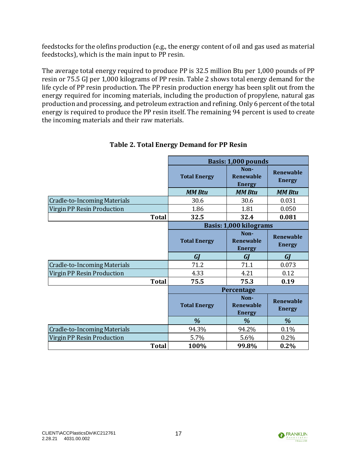feedstocks for the olefins production (e.g., the energy content of oil and gas used as material feedstocks), which is the main input to PP resin.

The average total energy required to produce PP is 32.5 million Btu per 1,000 pounds of PP resin or 75.5 GJ per 1,000 kilograms of PP resin. [Table 2](#page-21-0) shows total energy demand for the life cycle of PP resin production. The PP resin production energy has been split out from the energy required for incoming materials, including the production of propylene, natural gas production and processing, and petroleum extraction and refining.Only 6 percent of the total energy is required to produce the PP resin itself. The remaining 94 percent is used to create the incoming materials and their raw materials.

<span id="page-21-0"></span>

|                                     |                     |                                           | Basis: 1,000 pounds               |  |  |  |  |
|-------------------------------------|---------------------|-------------------------------------------|-----------------------------------|--|--|--|--|
|                                     | <b>Total Energy</b> | Non-<br><b>Renewable</b><br><b>Energy</b> | Renewable<br><b>Energy</b>        |  |  |  |  |
|                                     | <b>MM Btu</b>       | <b>MM Btu</b>                             | <b>MM Btu</b>                     |  |  |  |  |
| <b>Cradle-to-Incoming Materials</b> | 30.6                | 30.6                                      | 0.031                             |  |  |  |  |
| Virgin PP Resin Production          | 1.86                | 1.81                                      | 0.050                             |  |  |  |  |
| <b>Total</b>                        | 32.5                | 32.4                                      | 0.081                             |  |  |  |  |
|                                     |                     | Basis: 1,000 kilograms                    |                                   |  |  |  |  |
|                                     | <b>Total Energy</b> | Non-<br><b>Renewable</b><br><b>Energy</b> | Renewable<br><b>Energy</b>        |  |  |  |  |
|                                     |                     |                                           |                                   |  |  |  |  |
|                                     | GI                  | GI                                        | GJ                                |  |  |  |  |
| <b>Cradle-to-Incoming Materials</b> | 71.2                | 71.1                                      | 0.073                             |  |  |  |  |
| Virgin PP Resin Production          | 4.33                | 4.21                                      | 0.12                              |  |  |  |  |
| <b>Total</b>                        | 75.5                | 75.3                                      | 0.19                              |  |  |  |  |
|                                     |                     | Percentage                                |                                   |  |  |  |  |
|                                     | <b>Total Energy</b> | Non-<br><b>Renewable</b><br><b>Energy</b> | <b>Renewable</b><br><b>Energy</b> |  |  |  |  |
|                                     | $\frac{9}{6}$       | $\%$                                      | $\%$                              |  |  |  |  |
| <b>Cradle-to-Incoming Materials</b> | 94.3%               | 94.2%                                     | 0.1%                              |  |  |  |  |
| Virgin PP Resin Production          | 5.7%                | 5.6%                                      | 0.2%                              |  |  |  |  |

### **Table 2. Total Energy Demand for PP Resin**

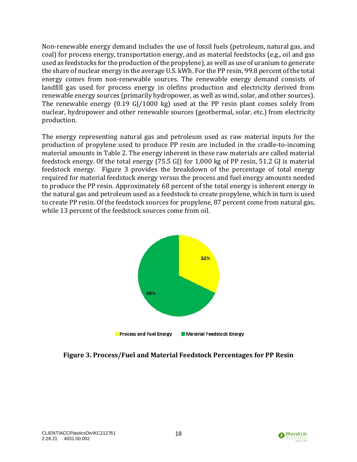Non-renewable energy demand includes the use of fossil fuels (petroleum, natural gas, and coal) for process energy, transportation energy, and as material feedstocks (e.g., oil and gas used as feedstocks for the production of the propylene), as well as use of uranium to generate the share of nuclear energy in the average U.S. kWh. For the PP resin, 99.8 percent of the total energy comes from non-renewable sources. The renewable energy demand consists of landfill gas used for process energy in olefins production and electricity derived from renewable energy sources (primarily hydropower, as well as wind, solar, and other sources). The renewable energy (0.19 GJ/1000 kg) used at the PP resin plant comes solely from nuclear, hydropower and other renewable sources (geothermal, solar, etc.) from electricity production.

The energy representing natural gas and petroleum used as raw material inputs for the production of propylene used to produce PP resin are included in the cradle-to-incoming material amounts in [Table 2.](#page-21-0) The energy inherent in these raw materials are called material feedstock energy. Of the total energy (75.5 GJ) for 1,000 kg of PP resin, 51.2 GJ is material feedstock energy. [Figure 3](#page-22-0) provides the breakdown of the percentage of total energy required for material feedstock energy versus the process and fuel energy amounts needed to produce the PP resin. Approximately 68 percent of the total energy is inherent energy in the natural gas and petroleum used as a feedstock to create propylene, which in turn is used to create PP resin. Of the feedstock sources for propylene, 87 percent come from natural gas, while 13 percent of the feedstock sources come from oil.



<span id="page-22-0"></span>**Figure 3. Process/Fuel and Material Feedstock Percentages for PP Resin**

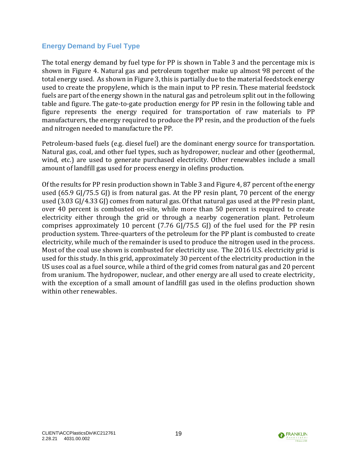#### <span id="page-23-0"></span>**Energy Demand by Fuel Type**

The total energy demand by fuel type for PP is shown in [Table 3](#page-24-1) and the percentage mix is shown in [Figure 4.](#page-24-2) Natural gas and petroleum together make up almost 98 percent of the total energy used. As shown in [Figure 3,](#page-22-0) this is partially due to the material feedstock energy used to create the propylene, which is the main input to PP resin. These material feedstock fuels are part of the energy shown in the natural gas and petroleum split out in the following table and figure. The gate-to-gate production energy for PP resin in the following table and figure represents the energy required for transportation of raw materials to PP manufacturers, the energy required to produce the PP resin, and the production of the fuels and nitrogen needed to manufacture the PP.

Petroleum-based fuels (e.g. diesel fuel) are the dominant energy source for transportation. Natural gas, coal, and other fuel types, such as hydropower, nuclear and other (geothermal, wind, etc.) are used to generate purchased electricity. Other renewables include a small amount of landfill gas used for process energy in olefins production.

Of the results for PP resin production shown in [Table 3](#page-24-1) and [Figure 4,](#page-24-2) 87 percent of the energy used (65.9 GJ/75.5 GJ) is from natural gas. At the PP resin plant, 70 percent of the energy used (3.03 GJ/4.33 GJ) comes from natural gas. Of that natural gas used at the PP resin plant, over 40 percent is combusted on-site, while more than 50 percent is required to create electricity either through the grid or through a nearby cogeneration plant. Petroleum comprises approximately 10 percent (7.76 GJ/75.5 GJ) of the fuel used for the PP resin production system. Three-quarters of the petroleum for the PP plant is combusted to create electricity, while much of the remainder is used to produce the nitrogen used in the process. Most of the coal use shown is combusted for electricity use. The 2016 U.S. electricity grid is used for this study. In this grid, approximately 30 percent of the electricity production in the US uses coal as a fuel source, while a third of the grid comes from natural gas and 20 percent from uranium. The hydropower, nuclear, and other energy are all used to create electricity, with the exception of a small amount of landfill gas used in the olefins production shown within other renewables.

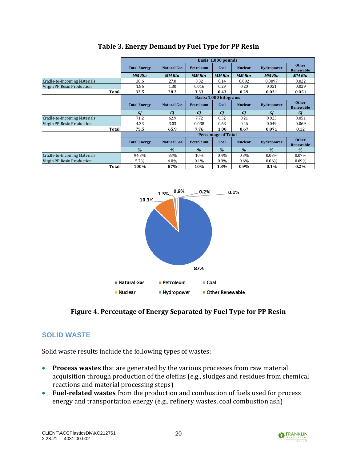<span id="page-24-1"></span>

|                              |                     |                                                |                  | Basis: 1,000 pounds        |                |                   |                           |
|------------------------------|---------------------|------------------------------------------------|------------------|----------------------------|----------------|-------------------|---------------------------|
|                              | <b>Total Energy</b> | <b>Natural Gas</b>                             | <b>Petroleum</b> | Coal                       | <b>Nuclear</b> | <b>Hydropower</b> | <b>Other</b><br>Renewable |
|                              | <b>MM Btu</b>       | <b>MM Btu</b>                                  | <b>MM Btu</b>    | <b>MM Btu</b>              | <b>MM Btu</b>  | <b>MM Btu</b>     | <b>MM Btu</b>             |
| Cradle-to-Incoming Materials | 30.6                | 27.0                                           | 3.32             | 0.14                       | 0.092          | 0.0097            | 0.022                     |
| Virgin PP Resin Production   | 1.86                | 1.30                                           | 0.016            | 0.29                       | 0.20           | 0.021             | 0.029                     |
| Total                        | 32.5                | 28.3                                           | 3.33             | 0.43                       | 0.29           | 0.031             | 0.051                     |
|                              |                     |                                                |                  | Basis: 1.000 kilograms     |                |                   |                           |
|                              | <b>Total Energy</b> | <b>Natural Gas</b><br><b>Petroleum</b><br>Coal | <b>Nuclear</b>   | <b>Hydropower</b>          | <b>Other</b>   |                   |                           |
|                              |                     |                                                |                  |                            |                |                   | Renewable                 |
|                              | <b>GI</b>           | GI                                             | GI               | GI                         | <b>GI</b>      | <b>GI</b>         | GI                        |
| Cradle-to-Incoming Materials | 71.2                | 62.9                                           | 7.72             | 0.32                       | 0.21           | 0.023             | 0.051                     |
| Virgin PP Resin Production   | 4.33                | 3.03                                           | 0.038            | 0.68                       | 0.46           | 0.049             | 0.069                     |
| Total                        | 75.5                | 65.9                                           | 7.76             | 1.00                       | 0.67           | 0.071             | 0.12                      |
|                              |                     |                                                |                  | <b>Percentage of Total</b> |                |                   |                           |
|                              | <b>Total Energy</b> | <b>Natural Gas</b>                             | <b>Petroleum</b> | Coal                       | <b>Nuclear</b> | <b>Hydropower</b> | <b>Other</b>              |
|                              |                     |                                                |                  |                            |                |                   | Renewable                 |
|                              | $\frac{9}{6}$       | $\frac{9}{6}$                                  | $\frac{9}{6}$    | $\frac{9}{6}$              | $\frac{9}{6}$  | $\frac{9}{6}$     | $\frac{9}{6}$             |
| Cradle-to-Incoming Materials | 94.3%               | 83%                                            | 10%              | 0.4%                       | 0.3%           | 0.03%             | 0.07%                     |
| Virgin PP Resin Production   | 5.7%                | 4.0%                                           | 0.1%             | 0.9%                       | $0.6\%$        | 0.06%             | 0.09%                     |
| Total                        | 100%                | 87%                                            | 10%              | 1.3%                       | $0.9\%$        | $0.1\%$           | $0.2\%$                   |

### **Table 3. Energy Demand by Fuel Type for PP Resin**



### **Figure 4. Percentage of Energy Separated by Fuel Type for PP Resin**

## <span id="page-24-2"></span><span id="page-24-0"></span>**SOLID WASTE**

Solid waste results include the following types of wastes:

- **Process wastes** that are generated by the various processes from raw material acquisition through production of the olefins (e.g., sludges and residues from chemical reactions and material processing steps)
- **Fuel-related wastes** from the production and combustion of fuels used for process energy and transportation energy (e.g., refinery wastes, coal combustion ash)

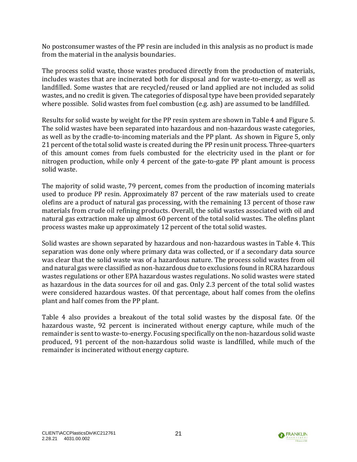No postconsumer wastes of the PP resin are included in this analysis as no product is made from the material in the analysis boundaries.

The process solid waste, those wastes produced directly from the production of materials, includes wastes that are incinerated both for disposal and for waste-to-energy, as well as landfilled. Some wastes that are recycled/reused or land applied are not included as solid wastes, and no credit is given. The categories of disposal type have been provided separately where possible. Solid wastes from fuel combustion (e.g. ash) are assumed to be landfilled.

Results for solid waste by weight for the PP resin system are shown i[n Table 4](#page-26-1) and [Figure 5.](#page-26-2) The solid wastes have been separated into hazardous and non-hazardous waste categories, as well as by the cradle-to-incoming materials and the PP plant. As shown in Figure 5, only 21 percent of the total solid waste is created during the PP resin unit process. Three-quarters of this amount comes from fuels combusted for the electricity used in the plant or for nitrogen production, while only 4 percent of the gate-to-gate PP plant amount is process solid waste.

The majority of solid waste, 79 percent, comes from the production of incoming materials used to produce PP resin. Approximately 87 percent of the raw materials used to create olefins are a product of natural gas processing, with the remaining 13 percent of those raw materials from crude oil refining products. Overall, the solid wastes associated with oil and natural gas extraction make up almost 60 percent of the total solid wastes. The olefins plant process wastes make up approximately 12 percent of the total solid wastes.

Solid wastes are shown separated by hazardous and non-hazardous wastes in [Table 4.](#page-26-1) This separation was done only where primary data was collected, or if a secondary data source was clear that the solid waste was of a hazardous nature. The process solid wastes from oil and natural gas were classified as non-hazardous due to exclusions found in RCRA hazardous wastes regulations or other EPA hazardous wastes regulations. No solid wastes were stated as hazardous in the data sources for oil and gas. Only 2.3 percent of the total solid wastes were considered hazardous wastes. Of that percentage, about half comes from the olefins plant and half comes from the PP plant.

[Table 4](#page-26-1) also provides a breakout of the total solid wastes by the disposal fate. Of the hazardous waste, 92 percent is incinerated without energy capture, while much of the remainder is sent to waste-to-energy. Focusing specifically on the non-hazardous solid waste produced, 91 percent of the non-hazardous solid waste is landfilled, while much of the remainder is incinerated without energy capture.

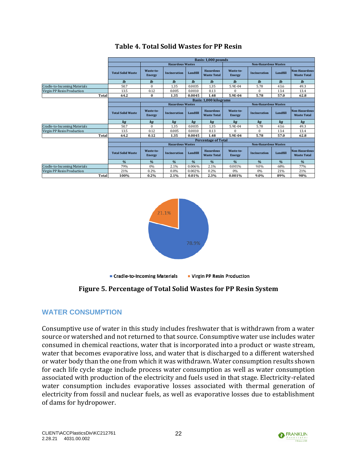<span id="page-26-1"></span>

|                              |                          | Basis: 1.000 pounds        |                         |          |                                        |                             |                             |              |                                            |
|------------------------------|--------------------------|----------------------------|-------------------------|----------|----------------------------------------|-----------------------------|-----------------------------|--------------|--------------------------------------------|
|                              |                          | <b>Hazardous Wastes</b>    |                         |          | <b>Non-Hazardous Wastes</b>            |                             |                             |              |                                            |
|                              | <b>Total Solid Waste</b> | Waste-to-<br><b>Energy</b> | <b>Incineration</b>     | Landfill | <b>Hazardous</b><br><b>Waste Total</b> | Waste-to-<br><b>Energy</b>  | <b>Incineration</b>         | Landfill     | <b>Non-Hazardous</b><br><b>Waste Total</b> |
|                              | $\mathbf{I}$             | $lb$                       | $l$                     | $l$      | $\mathbf{h}$                           | $\mathbf{I}$                | $\mathbf{I}$                | $\mathbf{I}$ | $\mathbf{lb}$                              |
| Cradle-to-Incoming Materials | 50.7                     | $\Omega$                   | 1.35                    | 0.0035   | 1.35                                   | 5.9E-04                     | 5.78                        | 43.6         | 49.3                                       |
| Virgin PP Resin Production   | 13.5                     | 0.12                       | 0.005                   | 0.0010   | 0.13                                   | 0                           | $\Omega$                    | 13.4         | 13.4                                       |
| Total                        | 64.2                     | $\bf{0}$                   | 1.35                    | 0.0045   | 1.48                                   | 5.9E-04                     | 5.78                        | 57.0         | 62.8                                       |
|                              |                          |                            |                         |          | Basis: 1,000 kilograms                 |                             |                             |              |                                            |
|                              |                          |                            | <b>Hazardous Wastes</b> |          |                                        | <b>Non-Hazardous Wastes</b> |                             |              |                                            |
|                              | <b>Total Solid Waste</b> | Waste-to-<br><b>Energy</b> | <b>Incineration</b>     | Landfill | <b>Hazardous</b><br><b>Waste Total</b> | Waste-to-<br><b>Energy</b>  | <b>Incineration</b>         | Landfill     | <b>Non-Hazardous</b><br><b>Waste Total</b> |
|                              | ka                       | kg                         | kg                      | kg       | kq                                     | ka                          | kg                          | kg           | kg                                         |
| Cradle-to-Incoming Materials | 50.7                     | $\Omega$                   | 1.35                    | 0.0035   | 1.35                                   | 5.9E-04                     | 5.78                        | 43.6         | 49.3                                       |
| Virgin PP Resin Production   | 13.5                     | 0.12                       | 0.005                   | 0.0010   | 0.13                                   | 0                           | $\Omega$                    | 13.4         | 13.4                                       |
| Total                        | 64.2                     | 0.12                       | 1.35                    | 0.0045   | 1.48                                   | 5.9E-04                     | 5.78                        | 57.0         | 62.8                                       |
|                              |                          |                            |                         |          | <b>Percentage of Total</b>             |                             |                             |              |                                            |
|                              |                          |                            | <b>Hazardous Wastes</b> |          |                                        |                             | <b>Non-Hazardous Wastes</b> |              |                                            |
|                              | <b>Total Solid Waste</b> | Waste-to-<br><b>Energy</b> | <b>Incineration</b>     | Landfill | <b>Hazardous</b><br><b>Waste Total</b> | Waste-to-<br><b>Energy</b>  | <b>Incineration</b>         | Landfill     | <b>Non-Hazardous</b><br><b>Waste Total</b> |
|                              | %                        | %                          | %                       | %        | %                                      | $\frac{a}{2}$               | $\frac{9}{6}$               | %            | %                                          |
| Cradle-to-Incoming Materials | 79%                      | 0%                         | 2.1%                    | 0.006%   | 2.1%                                   | 0.001%                      | 9.0%                        | 68%          | 77%                                        |
| Virgin PP Resin Production   | 21%                      | 0.2%                       | 0.0%                    | 0.002%   | 0.2%                                   | 0%                          | 0%                          | 21%          | 21%                                        |
| Total                        | 100%                     | 0.2%                       | 2.1%                    | 0.01%    | 2.3%                                   | 0.001%                      | 9.0%                        | 89%          | 98%                                        |

### **Table 4. Total Solid Wastes for PP Resin**



## **Figure 5. Percentage of Total Solid Wastes for PP Resin System**

## <span id="page-26-2"></span><span id="page-26-0"></span>**WATER CONSUMPTION**

Consumptive use of water in this study includes freshwater that is withdrawn from a water source or watershed and not returned to that source. Consumptive water use includes water consumed in chemical reactions, water that is incorporated into a product or waste stream, water that becomes evaporative loss, and water that is discharged to a different watershed or water body than the one from which it was withdrawn. Water consumption results shown for each life cycle stage include process water consumption as well as water consumption associated with production of the electricity and fuels used in that stage. Electricity-related water consumption includes evaporative losses associated with thermal generation of electricity from fossil and nuclear fuels, as well as evaporative losses due to establishment of dams for hydropower.

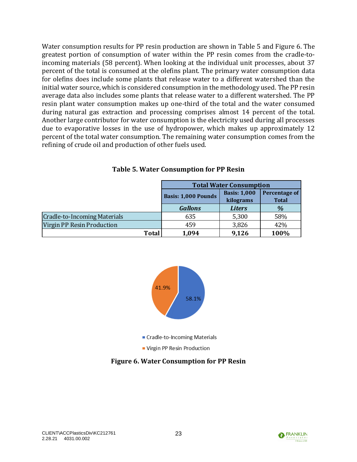Water consumption results for PP resin production are shown in [Table 5](#page-27-0) and [Figure 6.](#page-27-1) The greatest portion of consumption of water within the PP resin comes from the cradle-toincoming materials (58 percent). When looking at the individual unit processes, about 37 percent of the total is consumed at the olefins plant. The primary water consumption data for olefins does include some plants that release water to a different watershed than the initial water source, which is considered consumption in the methodology used. The PP resin average data also includes some plants that release water to a different watershed. The PP resin plant water consumption makes up one-third of the total and the water consumed during natural gas extraction and processing comprises almost 14 percent of the total. Another large contributor for water consumption is the electricity used during all processes due to evaporative losses in the use of hydropower, which makes up approximately 12 percent of the total water consumption. The remaining water consumption comes from the refining of crude oil and production of other fuels used.

<span id="page-27-0"></span>

|                                     | <b>Total Water Consumption</b> |                                  |                               |  |  |
|-------------------------------------|--------------------------------|----------------------------------|-------------------------------|--|--|
|                                     | <b>Basis: 1,000 Pounds</b>     | <b>Basis: 1,000</b><br>kilograms | Percentage of<br><b>Total</b> |  |  |
|                                     | <b>Gallons</b>                 | <b>Liters</b>                    | $\%$                          |  |  |
| <b>Cradle-to-Incoming Materials</b> | 635                            | 5,300                            | 58%                           |  |  |
| Virgin PP Resin Production          | 459                            | 3,826                            | 42%                           |  |  |
| <b>Total</b>                        | 1,094                          | 9,126                            | 100%                          |  |  |

#### **Table 5. Water Consumption for PP Resin**



<span id="page-27-1"></span>**Figure 6. Water Consumption for PP Resin**

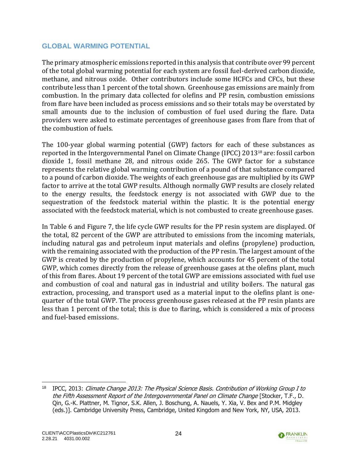#### <span id="page-28-0"></span>**GLOBAL WARMING POTENTIAL**

The primary atmospheric emissions reported in this analysis that contribute over 99 percent of the total global warming potential for each system are fossil fuel-derived carbon dioxide, methane, and nitrous oxide. Other contributors include some HCFCs and CFCs, but these contribute less than 1 percent of the total shown. Greenhouse gas emissions are mainly from combustion. In the primary data collected for olefins and PP resin, combustion emissions from flare have been included as process emissions and so their totals may be overstated by small amounts due to the inclusion of combustion of fuel used during the flare. Data providers were asked to estimate percentages of greenhouse gases from flare from that of the combustion of fuels.

The 100-year global warming potential (GWP) factors for each of these substances as reported in the Intergovernmental Panel on Climate Change (IPCC) 2013<sup>18</sup> are: fossil carbon dioxide 1, fossil methane 28, and nitrous oxide 265. The GWP factor for a substance represents the relative global warming contribution of a pound of that substance compared to a pound of carbon dioxide. The weights of each greenhouse gas are multiplied by its GWP factor to arrive at the total GWP results. Although normally GWP results are closely related to the energy results, the feedstock energy is not associated with GWP due to the sequestration of the feedstock material within the plastic. It is the potential energy associated with the feedstock material, which is not combusted to create greenhouse gases.

In [Table 6](#page-29-1) and [Figure 7,](#page-29-2) the life cycle GWP results for the PP resin system are displayed. Of the total, 82 percent of the GWP are attributed to emissions from the incoming materials, including natural gas and petroleum input materials and olefins (propylene) production, with the remaining associated with the production of the PP resin. The largest amount of the GWP is created by the production of propylene, which accounts for 45 percent of the total GWP, which comes directly from the release of greenhouse gases at the olefins plant, much of this from flares. About 19 percent of the total GWP are emissions associated with fuel use and combustion of coal and natural gas in industrial and utility boilers. The natural gas extraction, processing, and transport used as a material input to the olefins plant is onequarter of the total GWP. The process greenhouse gases released at the PP resin plants are less than 1 percent of the total; this is due to flaring, which is considered a mix of process and fuel-based emissions.



<sup>&</sup>lt;sup>18</sup> IPCC, 2013: Climate Change 2013: The Physical Science Basis. Contribution of Working Group I to the Fifth Assessment Report of the Intergovernmental Panel on Climate Change [Stocker, T.F., D. Qin, G.-K. Plattner, M. Tignor, S.K. Allen, J. Boschung, A. Nauels, Y. Xia, V. Bex and P.M. Midgley (eds.)]. Cambridge University Press, Cambridge, United Kingdom and New York, NY, USA, 2013.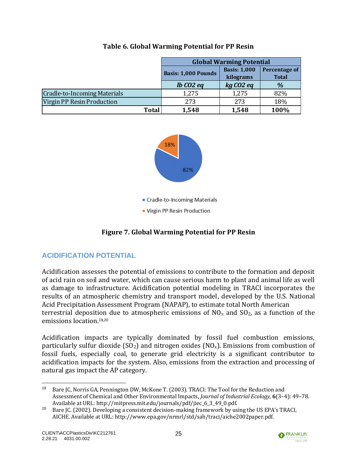<span id="page-29-1"></span>

|                                     | <b>Global Warming Potential</b> |                     |                      |  |  |  |
|-------------------------------------|---------------------------------|---------------------|----------------------|--|--|--|
|                                     | <b>Basis: 1,000 Pounds</b>      | <b>Basis: 1,000</b> | <b>Percentage of</b> |  |  |  |
|                                     |                                 | kilograms           | <b>Total</b>         |  |  |  |
|                                     | $lb$ $CO2$ $eq$                 |                     | $\%$                 |  |  |  |
| <b>Cradle-to-Incoming Materials</b> | 1,275                           | 1,275               | 82%                  |  |  |  |
| Virgin PP Resin Production          | 273                             | 273                 | 18%                  |  |  |  |
| Total                               | 1,548                           | 1,548               | 100%                 |  |  |  |

#### **Table 6. Global Warming Potential for PP Resin**



## **Figure 7. Global Warming Potential for PP Resin**

## <span id="page-29-2"></span><span id="page-29-0"></span>**ACIDIFICATION POTENTIAL**

Acidification assesses the potential of emissions to contribute to the formation and deposit of acid rain on soil and water, which can cause serious harm to plant and animal life as well as damage to infrastructure. Acidification potential modeling in TRACI incorporates the results of an atmospheric chemistry and transport model, developed by the U.S. National Acid Precipitation Assessment Program (NAPAP), to estimate total North American terrestrial deposition due to atmospheric emissions of  $NO<sub>x</sub>$  and  $SO<sub>2</sub>$ , as a function of the emissions location.19,<sup>20</sup>

Acidification impacts are typically dominated by fossil fuel combustion emissions, particularly sulfur dioxide (SO<sub>2</sub>) and nitrogen oxides (NO<sub>x</sub>). Emissions from combustion of fossil fuels, especially coal, to generate grid electricity is a significant contributor to acidification impacts for the system. Also, emissions from the extraction and processing of natural gas impact the AP category.



<sup>19</sup> Bare JC, Norris GA, Pennington DW, McKone T. (2003). TRACI: The Tool for the Reduction and Assessment of Chemical and Other Environmental Impacts, *Journal of Industrial Ecology,* **6**(3–4): 49–78. Available at URL: http://mitpress.mit.edu/journals/pdf/jiec\_6\_3\_49\_0.pdf.

<sup>&</sup>lt;sup>20</sup> Bare JC. (2002). Developing a consistent decision-making framework by using the US EPA's TRACI, AICHE. Available at URL: http://www.epa.gov/nrmrl/std/sab/traci/aiche2002paper.pdf.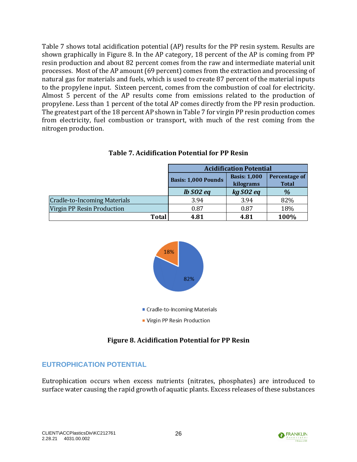[Table 7](#page-30-1) shows total acidification potential (AP) results for the PP resin system. Results are shown graphically in [Figure 8.](#page-30-2) In the AP category, 18 percent of the AP is coming from PP resin production and about 82 percent comes from the raw and intermediate material unit processes. Most of the AP amount (69 percent) comes from the extraction and processing of natural gas for materials and fuels, which is used to create 87 percent of the material inputs to the propylene input. Sixteen percent, comes from the combustion of coal for electricity. Almost 5 percent of the AP results come from emissions related to the production of propylene. Less than 1 percent of the total AP comes directly from the PP resin production. The greatest part of the 18 percent AP shown in Table 7 for virgin PP resin production comes from electricity, fuel combustion or transport, with much of the rest coming from the nitrogen production.

<span id="page-30-1"></span>

|                                     | <b>Acidification Potential</b> |                     |               |  |  |
|-------------------------------------|--------------------------------|---------------------|---------------|--|--|
|                                     | <b>Basis: 1,000 Pounds</b>     | <b>Basis: 1,000</b> | Percentage of |  |  |
|                                     |                                | kilograms           | <b>Total</b>  |  |  |
|                                     | $lb$ SO2 eq                    | kg SO2 eq           | $\frac{9}{6}$ |  |  |
| <b>Cradle-to-Incoming Materials</b> | 3.94                           | 3.94                | 82%           |  |  |
| Virgin PP Resin Production          | 0.87                           | 0.87                | 18%           |  |  |
| <b>Total</b>                        | 4.81                           | 4.81                | 100%          |  |  |

#### **Table 7. Acidification Potential for PP Resin**



### **Figure 8. Acidification Potential for PP Resin**

## <span id="page-30-2"></span><span id="page-30-0"></span>**EUTROPHICATION POTENTIAL**

Eutrophication occurs when excess nutrients (nitrates, phosphates) are introduced to surface water causing the rapid growth of aquatic plants. Excess releases of these substances

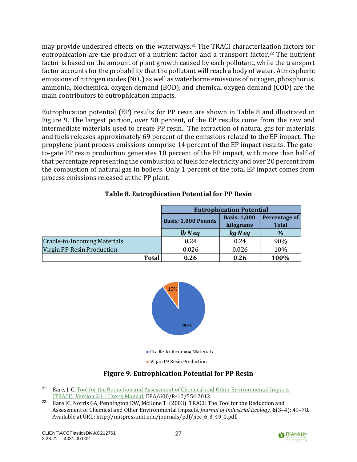may provide undesired effects on the waterways.<sup>21</sup> The TRACI characterization factors for eutrophication are the product of a nutrient factor and a transport factor.<sup>22</sup> The nutrient factor is based on the amount of plant growth caused by each pollutant, while the transport factor accounts for the probability that the pollutant will reach a body of water. Atmospheric emissions of nitrogen oxides  $(NO_x)$  as well as waterborne emissions of nitrogen, phosphorus, ammonia, biochemical oxygen demand (BOD), and chemical oxygen demand (COD) are the main contributors to eutrophication impacts.

Eutrophication potential (EP) results for PP resin are shown in [Table 8](#page-31-0) and illustrated in [Figure 9.](#page-31-1) The largest portion, over 90 percent, of the EP results come from the raw and intermediate materials used to create PP resin. The extraction of natural gas for materials and fuels releases approximately 69 percent of the emissions related to the EP impact. The propylene plant process emissions comprise 14 percent of the EP impact results. The gateto-gate PP resin production generates 10 percent of the EP impact, with more than half of that percentage representing the combustion of fuels for electricity and over 20 percent from the combustion of natural gas in boilers. Only 1 percent of the total EP impact comes from process emissions released at the PP plant.

<span id="page-31-0"></span>

|                                     | <b>Eutrophication Potential</b> |                                  |                                      |  |  |  |
|-------------------------------------|---------------------------------|----------------------------------|--------------------------------------|--|--|--|
|                                     | <b>Basis: 1,000 Pounds</b>      | <b>Basis: 1,000</b><br>kilograms | <b>Percentage of</b><br><b>Total</b> |  |  |  |
|                                     | $lb$ $N$ $eq$                   | kg N eq                          | $\%$                                 |  |  |  |
| <b>Cradle-to-Incoming Materials</b> | 0.24                            | 0.24                             | 90%                                  |  |  |  |
| Virgin PP Resin Production          | 0.026                           | 0.026                            | 10%                                  |  |  |  |
| <b>Total</b>                        | 0.26                            | 0.26                             | 100%                                 |  |  |  |

### **Table 8. Eutrophication Potential for PP Resin**



### **Figure 9. Eutrophication Potential for PP Resin**

27



<span id="page-31-1"></span><sup>&</sup>lt;sup>21</sup> Bare, I. C. Tool for the Reduction and Assessment of Chemical and Other Environmental Impacts [\(TRACI\),](http://nepis.epa.gov/Adobe/PDF/P100HN53.pdf) Version 2.1 - [User's Manual](http://nepis.epa.gov/Adobe/PDF/P100HN53.pdf); EPA/600/R-12/554 2012.

<sup>&</sup>lt;sup>22</sup> Bare JC, Norris GA, Pennington DW, McKone T. (2003). TRACI: The Tool for the Reduction and Assessment of Chemical and Other Environmental Impacts, *Journal of Industrial Ecology,* **6**(3–4): 49–78. Available at URL: http://mitpress.mit.edu/journals/pdf/jiec\_6\_3\_49\_0.pdf.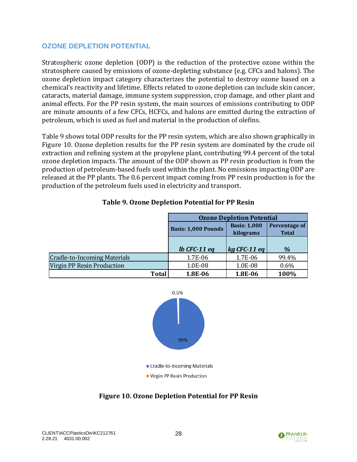### <span id="page-32-0"></span>**OZONE DEPLETION POTENTIAL**

Stratospheric ozone depletion (ODP) is the reduction of the protective ozone within the stratosphere caused by emissions of ozone-depleting substance (e.g. CFCs and halons). The ozone depletion impact category characterizes the potential to destroy ozone based on a chemical's reactivity and lifetime. Effects related to ozone depletion can include skin cancer, cataracts, material damage, immune system suppression, crop damage, and other plant and animal effects. For the PP resin system, the main sources of emissions contributing to ODP are minute amounts of a few CFCs, HCFCs, and halons are emitted during the extraction of petroleum, which is used as fuel and material in the production of olefins.

[Table 9](#page-32-1) shows total ODP results for the PP resin system, which are also shown graphically in [Figure 10.](#page-32-2) Ozone depletion results for the PP resin system are dominated by the crude oil extraction and refining system at the propylene plant, contributing 99.4 percent of the total ozone depletion impacts. The amount of the ODP shown as PP resin production is from the production of petroleum-based fuels used within the plant. No emissions impacting ODP are released at the PP plants. The 0.6 percent impact coming from PP resin production is for the production of the petroleum fuels used in electricity and transport.

<span id="page-32-1"></span>

|                              | <b>Ozone Depletion Potential</b> |                     |                      |  |  |  |
|------------------------------|----------------------------------|---------------------|----------------------|--|--|--|
|                              | <b>Basis: 1,000 Pounds</b>       | <b>Basis: 1,000</b> | <b>Percentage of</b> |  |  |  |
|                              |                                  | kilograms           | <b>Total</b>         |  |  |  |
|                              |                                  |                     |                      |  |  |  |
|                              | $lb$ CFC-11 eq                   | $kg$ CFC-11 eq      | $\%$                 |  |  |  |
| Cradle-to-Incoming Materials | 1.7E-06                          | 1.7E-06             | 99.4%                |  |  |  |
| Virgin PP Resin Production   | 1.0E-08                          | 1.0E-08             | 0.6%                 |  |  |  |
| <b>Total</b>                 | 1.8E-06                          | 1.8E-06             | 100%                 |  |  |  |

#### **Table 9. Ozone Depletion Potential for PP Resin**



<span id="page-32-2"></span>**Figure 10. Ozone Depletion Potential for PP Resin**

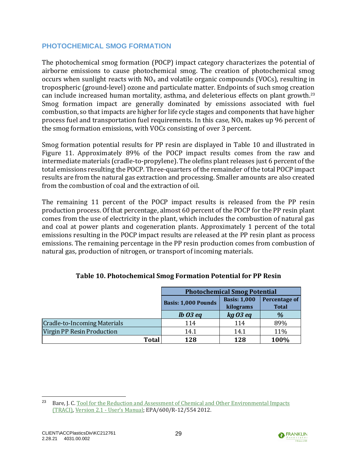### <span id="page-33-0"></span>**PHOTOCHEMICAL SMOG FORMATION**

The photochemical smog formation (POCP) impact category characterizes the potential of airborne emissions to cause photochemical smog. The creation of photochemical smog occurs when sunlight reacts with  $NO<sub>x</sub>$  and volatile organic compounds (VOCs), resulting in tropospheric (ground-level) ozone and particulate matter. Endpoints of such smog creation can include increased human mortality, asthma, and deleterious effects on plant growth.<sup>23</sup> Smog formation impact are generally dominated by emissions associated with fuel combustion, so that impacts are higher for life cycle stages and components that have higher process fuel and transportation fuel requirements. In this case,  $NO<sub>x</sub>$  makes up 96 percent of the smog formation emissions, with VOCs consisting of over 3 percent.

Smog formation potential results for PP resin are displayed in [Table 10](#page-33-1) and illustrated in [Figure 11.](#page-34-1) Approximately 89% of the POCP impact results comes from the raw and intermediate materials (cradle-to-propylene). The olefins plant releases just 6 percent of the total emissions resulting the POCP. Three-quarters of the remainder of the total POCP impact results are from the natural gas extraction and processing. Smaller amounts are also created from the combustion of coal and the extraction of oil.

The remaining 11 percent of the POCP impact results is released from the PP resin production process. Of that percentage, almost 60 percent of the POCP for the PP resin plant comes from the use of electricity in the plant, which includes the combustion of natural gas and coal at power plants and cogeneration plants. Approximately 1 percent of the total emissions resulting in the POCP impact results are released at the PP resin plant as process emissions. The remaining percentage in the PP resin production comes from combustion of natural gas, production of nitrogen, or transport of incoming materials.

<span id="page-33-1"></span>

|                                     | <b>Photochemical Smog Potential</b> |                                  |                                      |  |
|-------------------------------------|-------------------------------------|----------------------------------|--------------------------------------|--|
|                                     | <b>Basis: 1,000 Pounds</b>          | <b>Basis: 1,000</b><br>kilograms | <b>Percentage of</b><br><b>Total</b> |  |
|                                     | $lb$ 03 eq                          | kgO3eq                           | $\%$                                 |  |
| <b>Cradle-to-Incoming Materials</b> | 114                                 | 114                              | 89%                                  |  |
| Virgin PP Resin Production          | 14.1                                | 14.1                             | 11%                                  |  |
| <b>Total</b>                        | 128                                 | 128                              | 100%                                 |  |

### **Table 10. Photochemical Smog Formation Potential for PP Resin**



<sup>&</sup>lt;sup>23</sup> Bare, J. C. Tool for the Reduction and Assessment of Chemical and Other Environmental Impacts [\(TRACI\),](http://nepis.epa.gov/Adobe/PDF/P100HN53.pdf) [Version 2.1 -](http://nepis.epa.gov/Adobe/PDF/P100HN53.pdf) User's Manual; EPA/600/R-12/554 2012.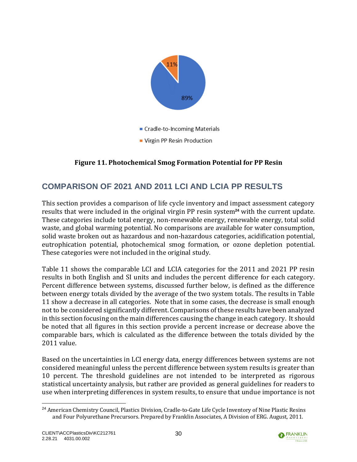

## **Figure 11. Photochemical Smog Formation Potential for PP Resin**

# <span id="page-34-1"></span><span id="page-34-0"></span>**COMPARISON OF 2021 AND 2011 LCI AND LCIA PP RESULTS**

This section provides a comparison of life cycle inventory and impact assessment category results that were included in the original virgin PP resin system**<sup>24</sup>** with the current update. These categories include total energy, non-renewable energy, renewable energy, total solid waste, and global warming potential. No comparisons are available for water consumption, solid waste broken out as hazardous and non-hazardous categories, acidification potential, eutrophication potential, photochemical smog formation, or ozone depletion potential. These categories were not included in the original study.

[Table 11](#page-35-0) shows the comparable LCI and LCIA categories for the 2011 and 2021 PP resin results in both English and SI units and includes the percent difference for each category. Percent difference between systems, discussed further below, is defined as the difference between energy totals divided by the average of the two system totals. The results in Table 11 show a decrease in all categories. Note that in some cases, the decrease is small enough not to be considered significantly different. Comparisons of these results have been analyzed in this section focusing on the main differences causing the change in each category. It should be noted that all figures in this section provide a percent increase or decrease above the comparable bars, which is calculated as the difference between the totals divided by the 2011 value.

Based on the uncertainties in LCI energy data, energy differences between systems are not considered meaningful unless the percent difference between system results is greater than 10 percent. The threshold guidelines are not intended to be interpreted as rigorous statistical uncertainty analysis, but rather are provided as general guidelines for readers to use when interpreting differences in system results, to ensure that undue importance is not



<sup>&</sup>lt;sup>24</sup> American Chemistry Council, Plastics Division, Cradle-to-Gate Life Cycle Inventory of Nine Plastic Resins and Four Polyurethane Precursors. Prepared by Franklin Associates, A Division of ERG. August, 2011.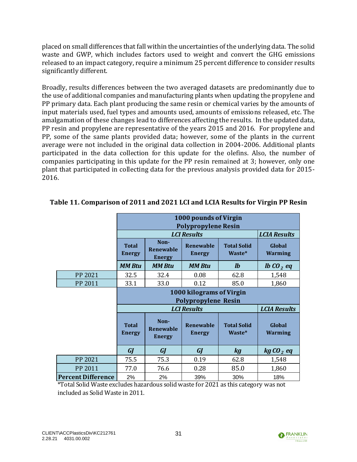placed on small differences that fall within the uncertainties of the underlying data. The solid waste and GWP, which includes factors used to weight and convert the GHG emissions released to an impact category, require a minimum 25 percent difference to consider results significantly different.

Broadly, results differences between the two averaged datasets are predominantly due to the use of additional companies and manufacturing plants when updating the propylene and PP primary data. Each plant producing the same resin or chemical varies by the amounts of input materials used, fuel types and amounts used, amounts of emissions released, etc. The amalgamation of these changes lead to differences affecting the results. In the updated data, PP resin and propylene are representative of the years 2015 and 2016. For propylene and PP, some of the same plants provided data; however, some of the plants in the current average were not included in the original data collection in 2004-2006. Additional plants participated in the data collection for this update for the olefins. Also, the number of companies participating in this update for the PP resin remained at 3; however, only one plant that participated in collecting data for the previous analysis provided data for 2015- 2016.

|                           | 1000 pounds of Virgin<br><b>Polypropylene Resin</b>                                                 |                                           |                                   |                              |                          |  |
|---------------------------|-----------------------------------------------------------------------------------------------------|-------------------------------------------|-----------------------------------|------------------------------|--------------------------|--|
|                           | <b>LCI Results</b>                                                                                  |                                           |                                   |                              | <b>LCIA Results</b>      |  |
|                           | <b>Total</b><br><b>Energy</b>                                                                       | Non-<br><b>Renewable</b><br><b>Energy</b> | <b>Renewable</b><br><b>Energy</b> | <b>Total Solid</b><br>Waste* | Global<br><b>Warming</b> |  |
|                           | <b>MM Btu</b>                                                                                       | <b>MM Btu</b>                             | <b>MM Btu</b>                     | $\mathbf{I}$                 | <i>lb</i> $CO2$ eq       |  |
| PP 2021                   | 32.5                                                                                                | 32.4                                      | 0.08                              | 62.8                         | 1,548                    |  |
| PP 2011                   | 33.1                                                                                                | 33.0                                      | 0.12                              | 85.0                         | 1,860                    |  |
|                           | 1000 kilograms of Virgin<br><b>Polypropylene Resin</b><br><b>LCI Results</b><br><b>LCIA Results</b> |                                           |                                   |                              |                          |  |
|                           | <b>Total</b><br><b>Energy</b>                                                                       | Non-<br><b>Renewable</b><br><b>Energy</b> | <b>Renewable</b><br><b>Energy</b> | <b>Total Solid</b><br>Waste* | Global<br><b>Warming</b> |  |
|                           | <b>GJ</b>                                                                                           | <b>GJ</b>                                 | GJ                                | <b>kg</b>                    | $kgCO2$ eq               |  |
| PP 2021                   | 75.5                                                                                                | 75.3                                      | 0.19                              | 62.8                         | 1,548                    |  |
| PP 2011                   | 77.0                                                                                                | 76.6                                      | 0.28                              | 85.0                         | 1,860                    |  |
| <b>Percent Difference</b> | 2%                                                                                                  | 2%                                        | 39%                               | 30%                          | 18%                      |  |

### <span id="page-35-0"></span>**Table 11. Comparison of 2011 and 2021 LCI and LCIA Results for Virgin PP Resin**

\*Total Solid Waste excludes hazardous solid waste for 2021 as this category was not included as Solid Waste in 2011.

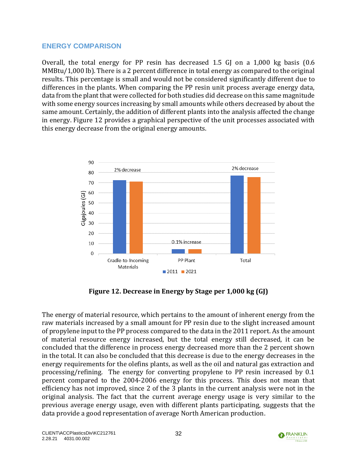#### <span id="page-36-0"></span>**ENERGY COMPARISON**

Overall, the total energy for PP resin has decreased 1.5 GJ on a  $1,000$  kg basis  $(0.6$ MMBtu/1,000 lb). There is a 2 percent difference in total energy as compared to the original results. This percentage is small and would not be considered significantly different due to differences in the plants. When comparing the PP resin unit process average energy data, data from the plant that were collected for both studies did decrease on this same magnitude with some energy sources increasing by small amounts while others decreased by about the same amount. Certainly, the addition of different plants into the analysis affected the change in energy. [Figure 12](#page-36-1) provides a graphical perspective of the unit processes associated with this energy decrease from the original energy amounts.



**Figure 12. Decrease in Energy by Stage per 1,000 kg (GJ)**

<span id="page-36-1"></span>The energy of material resource, which pertains to the amount of inherent energy from the raw materials increased by a small amount for PP resin due to the slight increased amount of propylene input to the PP process compared to the data in the 2011 report. As the amount of material resource energy increased, but the total energy still decreased, it can be concluded that the difference in process energy decreased more than the 2 percent shown in the total. It can also be concluded that this decrease is due to the energy decreases in the energy requirements for the olefins plants, as well as the oil and natural gas extraction and processing/refining. The energy for converting propylene to PP resin increased by 0.1 percent compared to the 2004-2006 energy for this process. This does not mean that efficiency has not improved, since 2 of the 3 plants in the current analysis were not in the original analysis. The fact that the current average energy usage is very similar to the previous average energy usage, even with different plants participating, suggests that the data provide a good representation of average North American production.

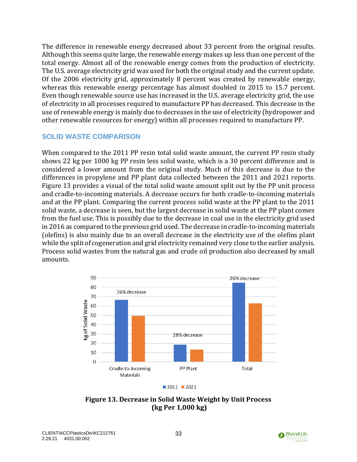The difference in renewable energy decreased about 33 percent from the original results. Although this seems quite large, the renewable energy makes up less than one percent of the total energy. Almost all of the renewable energy comes from the production of electricity. The U.S. average electricity grid was used for both the original study and the current update. Of the 2006 electricity grid, approximately 8 percent was created by renewable energy, whereas this renewable energy percentage has almost doubled in 2015 to 15.7 percent. Even though renewable source use has increased in the U.S. average electricity grid, the use of electricity in all processes required to manufacture PP has decreased. This decrease in the use of renewable energy is mainly due to decreases in the use of electricity (hydropower and other renewable resources for energy) within all processes required to manufacture PP.

#### <span id="page-37-0"></span>**SOLID WASTE COMPARISON**

When compared to the 2011 PP resin total solid waste amount, the current PP resin study shows 22 kg per 1000 kg PP resin less solid waste, which is a 30 percent difference and is considered a lower amount from the original study. Much of this decrease is due to the differences in propylene and PP plant data collected between the 2011 and 2021 reports. [Figure 13](#page-37-1) provides a visual of the total solid waste amount split out by the PP unit process and cradle-to-incoming materials. A decrease occurs for both cradle-to-incoming materials and at the PP plant. Comparing the current process solid waste at the PP plant to the 2011 solid waste, a decrease is seen, but the largest decrease in solid waste at the PP plant comes from the fuel use. This is possibly due to the decrease in coal use in the electricity grid used in 2016 as compared to the previous grid used. The decrease in cradle-to-incoming materials (olefins) is also mainly due to an overall decrease in the electricity use of the olefins plant while the split of cogeneration and grid electricity remained very close to the earlier analysis. Process solid wastes from the natural gas and crude oil production also decreased by small amounts.



<span id="page-37-1"></span>**Figure 13. Decrease in Solid Waste Weight by Unit Process (kg Per 1,000 kg)**

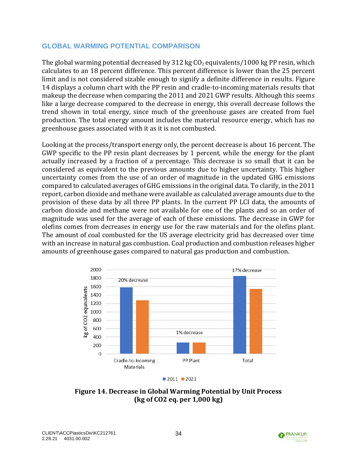#### <span id="page-38-0"></span>**GLOBAL WARMING POTENTIAL COMPARISON**

The global warming potential decreased by 312 kg  $CO<sub>2</sub>$  equivalents/1000 kg PP resin, which calculates to an 18 percent difference. This percent difference is lower than the 25 percent limit and is not considered sizable enough to signify a definite difference in results. [Figure](#page-38-1)  [14](#page-38-1) displays a column chart with the PP resin and cradle-to-incoming materials results that makeup the decrease when comparing the 2011 and 2021 GWP results. Although this seems like a large decrease compared to the decrease in energy, this overall decrease follows the trend shown in total energy, since much of the greenhouse gases are created from fuel production. The total energy amount includes the material resource energy, which has no greenhouse gases associated with it as it is not combusted.

Looking at the process/transport energy only, the percent decrease is about 16 percent. The GWP specific to the PP resin plant decreases by 1 percent, while the energy for the plant actually increased by a fraction of a percentage. This decrease is so small that it can be considered as equivalent to the previous amounts due to higher uncertainty. This higher uncertainty comes from the use of an order of magnitude in the updated GHG emissions compared to calculated averages of GHG emissions in the original data. To clarify, in the 2011 report, carbon dioxide and methane were available as calculated average amounts due to the provision of these data by all three PP plants. In the current PP LCI data, the amounts of carbon dioxide and methane were not available for one of the plants and so an order of magnitude was used for the average of each of these emissions. The decrease in GWP for olefins comes from decreases in energy use for the raw materials and for the olefins plant. The amount of coal combusted for the US average electricity grid has decreased over time with an increase in natural gas combustion. Coal production and combustion releases higher amounts of greenhouse gases compared to natural gas production and combustion.



<span id="page-38-1"></span>**Figure 14. Decrease in Global Warming Potential by Unit Process (kg of CO2 eq. per 1,000 kg)**

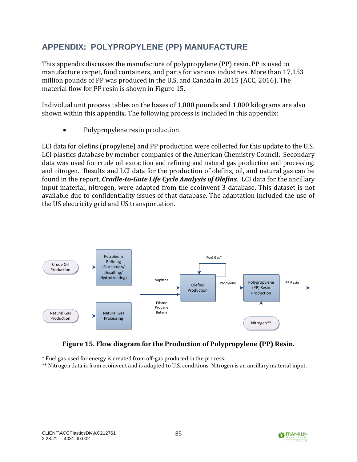# <span id="page-39-0"></span>**APPENDIX: POLYPROPYLENE (PP) MANUFACTURE**

This appendix discusses the manufacture of polypropylene (PP) resin. PP is used to manufacture carpet, food containers, and parts for various industries. More than 17,153 million pounds of PP was produced in the U.S. and Canada in 2015 (ACC, 2016). The material flow for PP resin is shown in [Figure 15.](#page-39-1)

Individual unit process tables on the bases of 1,000 pounds and 1,000 kilograms are also shown within this appendix. The following process is included in this appendix:

• Polypropylene resin production

LCI data for olefins (propylene) and PP production were collected for this update to the U.S. LCI plastics database by member companies of the American Chemistry Council. Secondary data was used for crude oil extraction and refining and natural gas production and processing, and nitrogen. Results and LCI data for the production of olefins, oil, and natural gas can be found in the report, *Cradle-to-Gate Life Cycle Analysis of Olefins*. LCI data for the ancillary input material, nitrogen, were adapted from the ecoinvent 3 database. This dataset is not available due to confidentiality issues of that database. The adaptation included the use of the US electricity grid and US transportation.



#### **Figure 15. Flow diagram for the Production of Polypropylene (PP) Resin.**

<span id="page-39-1"></span>\* Fuel gas used for energy is created from off-gas produced in the process.

\*\* Nitrogen data is from ecoinvent and is adapted to U.S. conditions. Nitrogen is an ancillary material input.

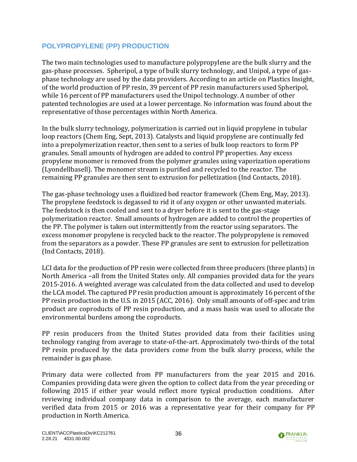## <span id="page-40-0"></span>**POLYPROPYLENE (PP) PRODUCTION**

The two main technologies used to manufacture polypropylene are the bulk slurry and the gas-phase processes. Spheripol, a type of bulk slurry technology, and Unipol, a type of gasphase technology are used by the data providers. According to an article on Plastics Insight, of the world production of PP resin, 39 percent of PP resin manufacturers used Spheripol, while 16 percent of PP manufacturers used the Unipol technology. A number of other patented technologies are used at a lower percentage. No information was found about the representative of those percentages within North America.

In the bulk slurry technology, polymerization is carried out in liquid propylene in tubular loop reactors (Chem Eng, Sept, 2013). Catalysts and liquid propylene are continually fed into a prepolymerization reactor, then sent to a series of bulk loop reactors to form PP granules. Small amounts of hydrogen are added to control PP properties. Any excess propylene monomer is removed from the polymer granules using vaporization operations (Lyondellbasell). The monomer stream is purified and recycled to the reactor. The remaining PP granules are then sent to extrusion for pelletization (Ind Contacts, 2018).

The gas-phase technology uses a fluidized bed reactor framework (Chem Eng, May, 2013). The propylene feedstock is degassed to rid it of any oxygen or other unwanted materials. The feedstock is then cooled and sent to a dryer before it is sent to the gas-stage polymerization reactor. Small amounts of hydrogen are added to control the properties of the PP. The polymer is taken out intermittently from the reactor using separators. The excess monomer propylene is recycled back to the reactor. The polypropylene is removed from the separators as a powder. These PP granules are sent to extrusion for pelletization (Ind Contacts, 2018).

LCI data for the production of PP resin were collected from three producers (three plants) in North America –all from the United States only. All companies provided data for the years 2015-2016. A weighted average was calculated from the data collected and used to develop the LCA model. The captured PP resin production amount is approximately 16 percent of the PP resin production in the U.S. in 2015 (ACC, 2016). Only small amounts of off-spec and trim product are coproducts of PP resin production, and a mass basis was used to allocate the environmental burdens among the coproducts.

PP resin producers from the United States provided data from their facilities using technology ranging from average to state-of-the-art. Approximately two-thirds of the total PP resin produced by the data providers come from the bulk slurry process, while the remainder is gas phase.

Primary data were collected from PP manufacturers from the year 2015 and 2016. Companies providing data were given the option to collect data from the year preceding or following 2015 if either year would reflect more typical production conditions. After reviewing individual company data in comparison to the average, each manufacturer verified data from 2015 or 2016 was a representative year for their company for PP production in North America.

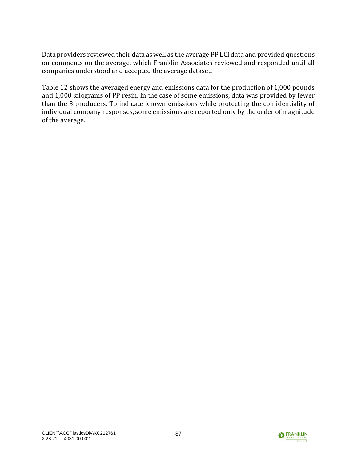Data providers reviewed their data as well as the average PP LCI data and provided questions on comments on the average, which Franklin Associates reviewed and responded until all companies understood and accepted the average dataset.

[Table 12](#page-42-0) shows the averaged energy and emissions data for the production of 1,000 pounds and 1,000 kilograms of PP resin. In the case of some emissions, data was provided by fewer than the 3 producers. To indicate known emissions while protecting the confidentiality of individual company responses, some emissions are reported only by the order of magnitude of the average.

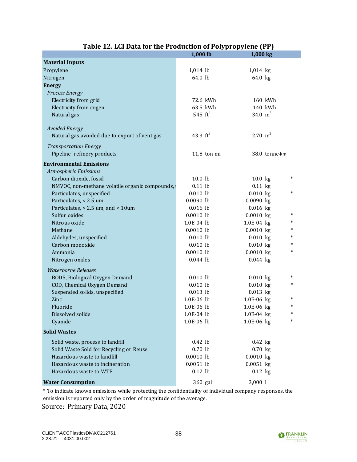<span id="page-42-0"></span>

|                                                  | 1,000 lb              | 1,000 kg              |
|--------------------------------------------------|-----------------------|-----------------------|
| <b>Material Inputs</b>                           |                       |                       |
| Propylene                                        | $1,014$ lb            | 1,014 kg              |
| Nitrogen                                         | 64.0 lb               | 64.0 kg               |
| <b>Energy</b>                                    |                       |                       |
| <b>Process Energy</b>                            |                       |                       |
| Electricity from grid                            | 72.6 kWh              | 160 kWh               |
| Electricity from cogen                           | 63.5 kWh              | 140 kWh               |
| Natural gas                                      | 545 $\mathrm{ft}^{3}$ | 34.0 $m^3$            |
|                                                  |                       |                       |
| <b>Avoided Energy</b>                            |                       |                       |
| Natural gas avoided due to export of vent gas    | 43.3 $ft^3$           | $2.70 \text{ m}^3$    |
| <b>Transportation Energy</b>                     |                       |                       |
| Pipeline -refinery products                      | 11.8 ton $\cdot$ mi   | 38.0 tonne km         |
|                                                  |                       |                       |
| <b>Environmental Emissions</b>                   |                       |                       |
| <b>Atmospheric Emissions</b>                     |                       | *                     |
| Carbon dioxide, fossil                           | 10.0 lb               | $10.0$ kg             |
| NMVOC, non-methane volatile organic compounds, a | $0.11$ lb             | $0.11$ kg<br>*        |
| Particulates, unspecified                        | $0.010$ lb            | $0.010$ kg            |
| Particulates, < 2.5 um                           | $0.0090$ lb           | $0.0090$ kg           |
| Particulates, > 2.5 um, and < 10um               | $0.016$ lb            | $0.016$ kg<br>*       |
| Sulfur oxides                                    | $0.0010$ lb           | $0.0010$ kg<br>*      |
| Nitrous oxide                                    | 1.0E-04 lb            | 1.0E-04 kg<br>*       |
| Methane                                          | $0.0010$ lb           | $0.0010$ kg<br>$\ast$ |
| Aldehydes, unspecified                           | $0.010$ lb            | $0.010$ kg<br>$\ast$  |
| Carbon monoxide                                  | $0.010$ lb            | $0.010$ kg<br>*       |
| Ammonia                                          | $0.0010$ lb           | $0.0010$ kg           |
| Nitrogen oxides                                  | $0.044$ lb            | $0.044$ kg            |
| <b>Waterborne Releases</b>                       |                       |                       |
| BOD5, Biological Oxygen Demand                   | $0.010$ lb            | *<br>$0.010$ kg       |
| COD, Chemical Oxygen Demand                      | $0.010$ lb            | *<br>$0.010$ kg       |
| Suspended solids, unspecified                    | $0.013$ lb            | $0.013$ kg            |
| Zinc                                             | 1.0E-06 lb            | $\ast$<br>1.0E-06 kg  |
| Fluoride                                         | 1.0E-06 lb            | $\ast$<br>1.0E-06 kg  |
| Dissolved solids                                 | 1.0E-04 lb            | 1.0E-04 kg<br>*       |
| Cyanide                                          | 1.0E-06 lb            | *<br>1.0E-06 kg       |
| <b>Solid Wastes</b>                              |                       |                       |
| Solid waste, process to landfill                 | $0.42$ lb             | $0.42$ kg             |
| Solid Waste Sold for Recycling or Reuse          | $0.70$ lb             | $0.70$ kg             |
| Hazardous waste to landfill                      | $0.0010$ lb           | $0.0010$ kg           |
| Hazardous waste to incineration                  | $0.0051$ lb           | $0.0051$ kg           |
| Hazardous waste to WTE                           | $0.12$ lb             | $0.12$ kg             |
|                                                  |                       |                       |
| <b>Water Consumption</b>                         | 360 gal               | 3,0001                |

## **Table 12. LCI Data for the Production of Polypropylene (PP)**

\* To indicate known emissions while protecting the confidentiality of individual company responses, the emission is reported only by the order of magnitude of the average.

Source: Primary Data, 2020